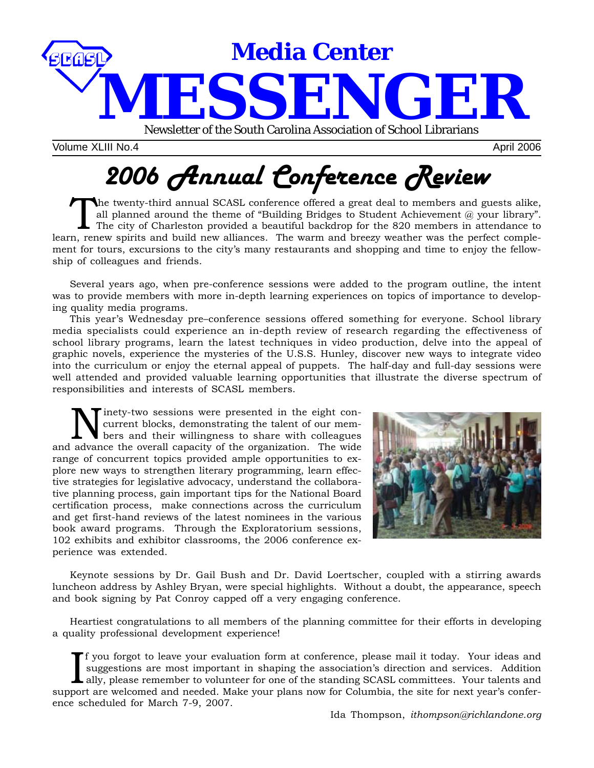

Volume XLIII No.4 April 2006

# *2006 Annual Conference Review*

The twenty-third annual SCASL conference offered a great deal to members and guests alike,<br>all planned around the theme of "Building Bridges to Student Achievement @ your library".<br>The city of Charleston provided a beautif all planned around the theme of "Building Bridges to Student Achievement  $@$  your library". learn, renew spirits and build new alliances. The warm and breezy weather was the perfect complement for tours, excursions to the city's many restaurants and shopping and time to enjoy the fellowship of colleagues and friends.

Several years ago, when pre-conference sessions were added to the program outline, the intent was to provide members with more in-depth learning experiences on topics of importance to developing quality media programs.

This year's Wednesday pre–conference sessions offered something for everyone. School library media specialists could experience an in-depth review of research regarding the effectiveness of school library programs, learn the latest techniques in video production, delve into the appeal of graphic novels, experience the mysteries of the U.S.S. Hunley, discover new ways to integrate video into the curriculum or enjoy the eternal appeal of puppets. The half-day and full-day sessions were well attended and provided valuable learning opportunities that illustrate the diverse spectrum of responsibilities and interests of SCASL members.

inety-two sessions were presented in the eight concurrent blocks, demonstrating the talent of our members and their willingness to share with colleagues and advance the overall capacity of the organization. The wide range of concurrent topics provided ample opportunities to explore new ways to strengthen literary programming, learn effective strategies for legislative advocacy, understand the collaborative planning process, gain important tips for the National Board certification process, make connections across the curriculum and get first-hand reviews of the latest nominees in the various book award programs. Through the Exploratorium sessions, 102 exhibits and exhibitor classrooms, the 2006 conference experience was extended.



Keynote sessions by Dr. Gail Bush and Dr. David Loertscher, coupled with a stirring awards luncheon address by Ashley Bryan, were special highlights. Without a doubt, the appearance, speech and book signing by Pat Conroy capped off a very engaging conference.

Heartiest congratulations to all members of the planning committee for their efforts in developing a quality professional development experience!

If you forgot to leave your evaluation form at conference, please mail it today. Your ideas and suggestions are most important in shaping the association's direction and services. Addition ally, please remember to voluntee f you forgot to leave your evaluation form at conference, please mail it today. Your ideas and suggestions are most important in shaping the association's direction and services. Addition ally, please remember to volunteer for one of the standing SCASL committees. Your talents and ence scheduled for March 7-9, 2007.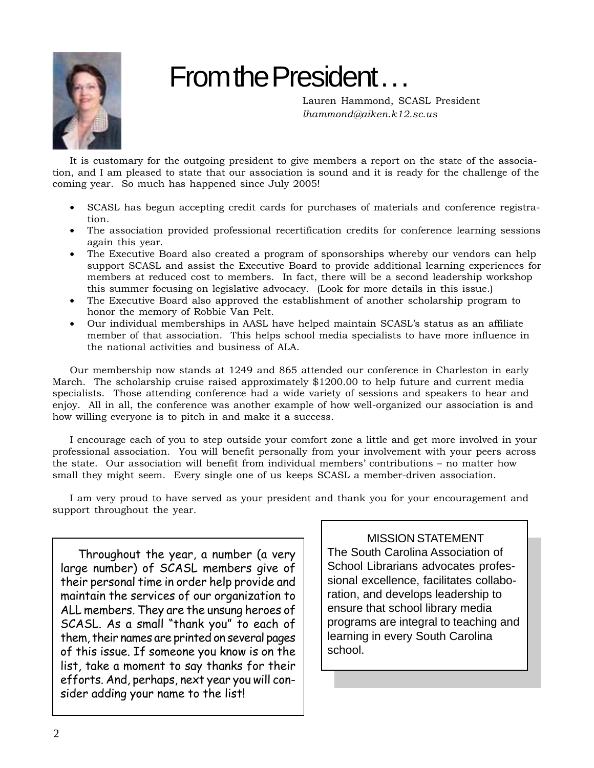

# From the President.

Lauren Hammond, SCASL President *lhammond@aiken.k12.sc.us*

It is customary for the outgoing president to give members a report on the state of the association, and I am pleased to state that our association is sound and it is ready for the challenge of the coming year. So much has happened since July 2005!

- SCASL has begun accepting credit cards for purchases of materials and conference registration.
- The association provided professional recertification credits for conference learning sessions again this year.
- The Executive Board also created a program of sponsorships whereby our vendors can help support SCASL and assist the Executive Board to provide additional learning experiences for members at reduced cost to members. In fact, there will be a second leadership workshop this summer focusing on legislative advocacy. (Look for more details in this issue.)
- The Executive Board also approved the establishment of another scholarship program to honor the memory of Robbie Van Pelt.
- Our individual memberships in AASL have helped maintain SCASL's status as an affiliate member of that association. This helps school media specialists to have more influence in the national activities and business of ALA.

Our membership now stands at 1249 and 865 attended our conference in Charleston in early March. The scholarship cruise raised approximately \$1200.00 to help future and current media specialists. Those attending conference had a wide variety of sessions and speakers to hear and enjoy. All in all, the conference was another example of how well-organized our association is and how willing everyone is to pitch in and make it a success.

I encourage each of you to step outside your comfort zone a little and get more involved in your professional association. You will benefit personally from your involvement with your peers across the state. Our association will benefit from individual members' contributions – no matter how small they might seem. Every single one of us keeps SCASL a member-driven association.

I am very proud to have served as your president and thank you for your encouragement and support throughout the year.

Throughout the year, a number (a very large number) of SCASL members give of their personal time in order help provide and maintain the services of our organization to ALL members. They are the unsung heroes of SCASL. As a small "thank you" to each of them, their names are printed on several pages of this issue. If someone you know is on the list, take a moment to say thanks for their efforts. And, perhaps, next year you will consider adding your name to the list!

# MISSION STATEMENT

The South Carolina Association of School Librarians advocates professional excellence, facilitates collaboration, and develops leadership to ensure that school library media programs are integral to teaching and learning in every South Carolina school.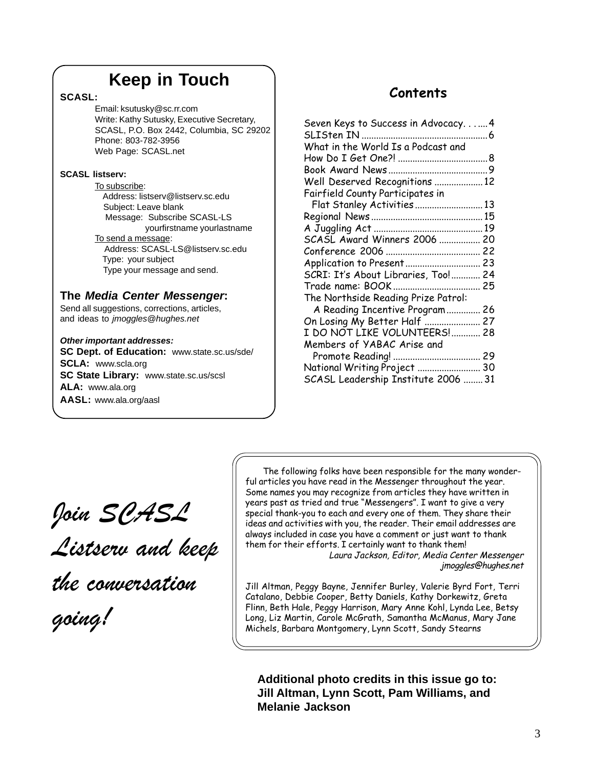# **Keep in Touch**

# **SCASL:**

Email: ksutusky@sc.rr.com Write: Kathy Sutusky, Executive Secretary, SCASL, P.O. Box 2442, Columbia, SC 29202 Phone: 803-782-3956 Web Page: SCASL.net

# **SCASL listserv:**

To subscribe: Address: listserv@listserv.sc.edu Subject: Leave blank Message: Subscribe SCASL-LS yourfirstname yourlastname To send a message: Address: SCASL-LS@listserv.sc.edu Type: your subject Type your message and send.

# **The** *Media Center Messenger***:**

Send all suggestions, corrections, articles, and ideas to *jmoggles@hughes.net*

# *Other important addresses:*

**SC Dept. of Education:** www.state.sc.us/sde/ **SCLA:** www.scla.org **SC State Library:** www.state.sc.us/scsl **ALA:** www.ala.org **AASL:** www.ala.org/aasl

# **Contents**

| Seven Keys to Success in Advocacy 4 |  |
|-------------------------------------|--|
| SLISten IN                          |  |
| What in the World Is a Podcast and  |  |
|                                     |  |
|                                     |  |
| Well Deserved Recognitions  12      |  |
| Fairfield County Participates in    |  |
| Flat Stanley Activities  13         |  |
|                                     |  |
|                                     |  |
| SCASL Award Winners 2006  20        |  |
|                                     |  |
| Application to Present 23           |  |
| SCRI: It's About Libraries, Too! 24 |  |
|                                     |  |
| The Northside Reading Prize Patrol: |  |
| A Reading Incentive Program 26      |  |
| On Losing My Better Half  27        |  |
| I DO NOT LIKE VOLUNTEERS! 28        |  |
| Members of YABAC Arise and          |  |
|                                     |  |
| National Writing Project  30        |  |
| SCASL Leadership Institute 2006  31 |  |
|                                     |  |

*Join SCASL*

*Listserv and keep*

*the conversation*

*going!*

The following folks have been responsible for the many wonderful articles you have read in the Messenger throughout the year. Some names you may recognize from articles they have written in years past as tried and true "Messengers". I want to give a very special thank-you to each and every one of them. They share their ideas and activities with you, the reader. Their email addresses are always included in case you have a comment or just want to thank them for their efforts. I certainly want to thank them!

Laura Jackson, Editor, Media Center Messenger jmoggles@hughes.net

Jill Altman, Peggy Bayne, Jennifer Burley, Valerie Byrd Fort, Terri Catalano, Debbie Cooper, Betty Daniels, Kathy Dorkewitz, Greta Flinn, Beth Hale, Peggy Harrison, Mary Anne Kohl, Lynda Lee, Betsy Long, Liz Martin, Carole McGrath, Samantha McManus, Mary Jane Michels, Barbara Montgomery, Lynn Scott, Sandy Stearns

**Additional photo credits in this issue go to: Jill Altman, Lynn Scott, Pam Williams, and Melanie Jackson**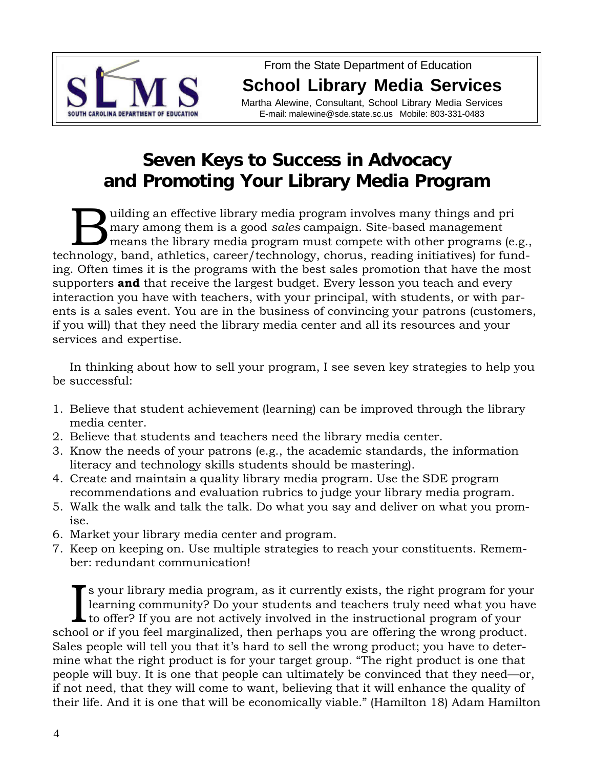

From the State Department of Education **School Library Media Services**

Martha Alewine, Consultant, School Library Media Services E-mail: malewine@sde.state.sc.us Mobile: 803-331-0483

# **Seven Keys to Success in Advocacy and Promoting Your Library Media Program**

uilding an effective library media program involves many things and pri<br>mary among them is a good *sales* campaign. Site-based management<br>means the library media program must compete with other programs (e<br>hockey bord othl mary among them is a good *sales* campaign. Site-based management means the library media program must compete with other programs (e.g., technology, band, athletics, career/technology, chorus, reading initiatives) for funding. Often times it is the programs with the best sales promotion that have the most supporters **and** that receive the largest budget. Every lesson you teach and every interaction you have with teachers, with your principal, with students, or with parents is a sales event. You are in the business of convincing your patrons (customers, if you will) that they need the library media center and all its resources and your services and expertise.

In thinking about how to sell your program, I see seven key strategies to help you be successful:

- 1. Believe that student achievement (learning) can be improved through the library media center.
- 2. Believe that students and teachers need the library media center.
- 3. Know the needs of your patrons (e.g., the academic standards, the information literacy and technology skills students should be mastering).
- 4. Create and maintain a quality library media program. Use the SDE program recommendations and evaluation rubrics to judge your library media program.
- 5. Walk the walk and talk the talk. Do what you say and deliver on what you promise.
- 6. Market your library media center and program.
- 7. Keep on keeping on. Use multiple strategies to reach your constituents. Remember: redundant communication!

In the syour library media program, as it currently exists, the right program for you learning community? Do your students and teachers truly need what you has to offer? If you are not actively involved in the instructiona s your library media program, as it currently exists, the right program for your learning community? Do your students and teachers truly need what you have to offer? If you are not actively involved in the instructional program of your Sales people will tell you that it's hard to sell the wrong product; you have to determine what the right product is for your target group. "The right product is one that people will buy. It is one that people can ultimately be convinced that they need—or, if not need, that they will come to want, believing that it will enhance the quality of their life. And it is one that will be economically viable." (Hamilton 18) Adam Hamilton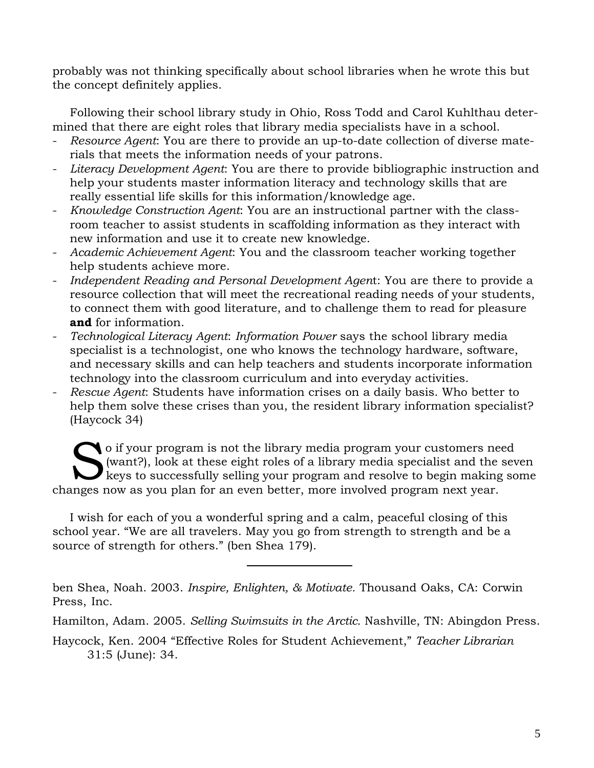probably was not thinking specifically about school libraries when he wrote this but the concept definitely applies.

Following their school library study in Ohio, Ross Todd and Carol Kuhlthau determined that there are eight roles that library media specialists have in a school.

- *Resource Agent*: You are there to provide an up-to-date collection of diverse materials that meets the information needs of your patrons.
- *Literacy Development Agent*: You are there to provide bibliographic instruction and help your students master information literacy and technology skills that are really essential life skills for this information/knowledge age.
- *Knowledge Construction Agent*: You are an instructional partner with the classroom teacher to assist students in scaffolding information as they interact with new information and use it to create new knowledge.
- *Academic Achievement Agent*: You and the classroom teacher working together help students achieve more.
- *Independent Reading and Personal Development Agen*t: You are there to provide a resource collection that will meet the recreational reading needs of your students, to connect them with good literature, and to challenge them to read for pleasure **and** for information.
- *Technological Literacy Agent*: *Information Power* says the school library media specialist is a technologist, one who knows the technology hardware, software, and necessary skills and can help teachers and students incorporate information technology into the classroom curriculum and into everyday activities.
- *Rescue Agent:* Students have information crises on a daily basis. Who better to help them solve these crises than you, the resident library information specialist? (Haycock 34)

O if your program is not the library media program your customers need<br>
(want?), look at these eight roles of a library media specialist and the set<br>
keys to successfully selling your program and resolve to begin making so (want?), look at these eight roles of a library media specialist and the seven keys to successfully selling your program and resolve to begin making some changes now as you plan for an even better, more involved program next year.

I wish for each of you a wonderful spring and a calm, peaceful closing of this school year. "We are all travelers. May you go from strength to strength and be a source of strength for others." (ben Shea 179).

ben Shea, Noah. 2003. *Inspire, Enlighten, & Motivate.* Thousand Oaks, CA: Corwin Press, Inc.

Hamilton, Adam. 2005. *Selling Swimsuits in the Arctic.* Nashville, TN: Abingdon Press.

Haycock, Ken. 2004 "Effective Roles for Student Achievement," *Teacher Librarian* 31:5 (June): 34.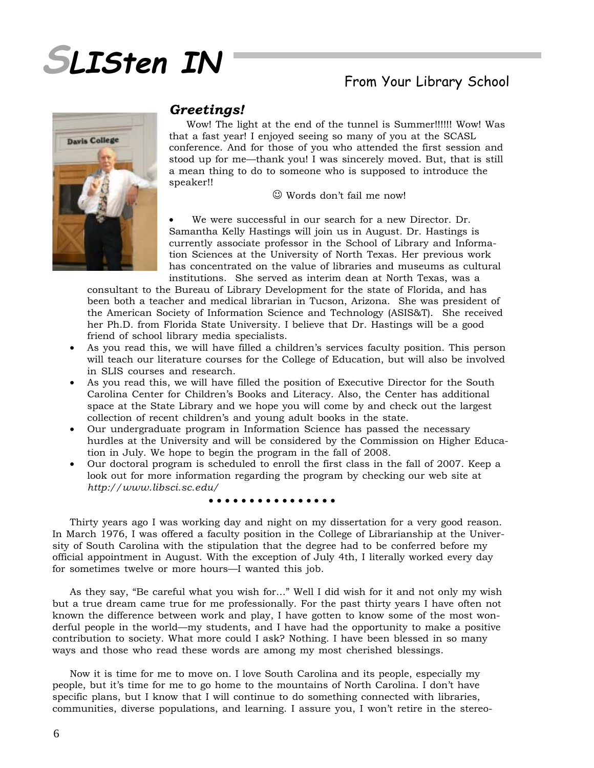

# From Your Library School



# *Greetings!*

Wow! The light at the end of the tunnel is Summer!!!!!! Wow! Was that a fast year! I enjoyed seeing so many of you at the SCASL conference. And for those of you who attended the first session and stood up for me—thank you! I was sincerely moved. But, that is still a mean thing to do to someone who is supposed to introduce the speaker!!

☺ Words don't fail me now!

We were successful in our search for a new Director. Dr. Samantha Kelly Hastings will join us in August. Dr. Hastings is currently associate professor in the School of Library and Information Sciences at the University of North Texas. Her previous work has concentrated on the value of libraries and museums as cultural institutions. She served as interim dean at North Texas, was a

consultant to the Bureau of Library Development for the state of Florida, and has been both a teacher and medical librarian in Tucson, Arizona. She was president of the American Society of Information Science and Technology (ASIS&T). She received her Ph.D. from Florida State University. I believe that Dr. Hastings will be a good friend of school library media specialists.

- As you read this, we will have filled a children's services faculty position. This person will teach our literature courses for the College of Education, but will also be involved in SLIS courses and research.
- As you read this, we will have filled the position of Executive Director for the South Carolina Center for Children's Books and Literacy. Also, the Center has additional space at the State Library and we hope you will come by and check out the largest collection of recent children's and young adult books in the state.
- Our undergraduate program in Information Science has passed the necessary hurdles at the University and will be considered by the Commission on Higher Education in July. We hope to begin the program in the fall of 2008.
- Our doctoral program is scheduled to enroll the first class in the fall of 2007. Keep a look out for more information regarding the program by checking our web site at *http://www.libsci.sc.edu/*

#### ○○○○○○○○○○ ○○○○○○

Thirty years ago I was working day and night on my dissertation for a very good reason. In March 1976, I was offered a faculty position in the College of Librarianship at the University of South Carolina with the stipulation that the degree had to be conferred before my official appointment in August. With the exception of July 4th, I literally worked every day for sometimes twelve or more hours—I wanted this job.

As they say, "Be careful what you wish for…" Well I did wish for it and not only my wish but a true dream came true for me professionally. For the past thirty years I have often not known the difference between work and play, I have gotten to know some of the most wonderful people in the world—my students, and I have had the opportunity to make a positive contribution to society. What more could I ask? Nothing. I have been blessed in so many ways and those who read these words are among my most cherished blessings.

Now it is time for me to move on. I love South Carolina and its people, especially my people, but it's time for me to go home to the mountains of North Carolina. I don't have specific plans, but I know that I will continue to do something connected with libraries, communities, diverse populations, and learning. I assure you, I won't retire in the stereo-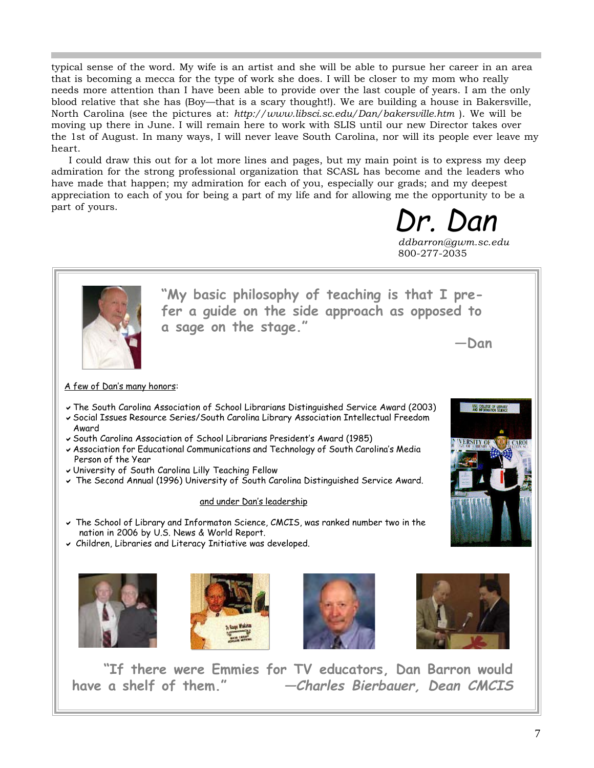typical sense of the word. My wife is an artist and she will be able to pursue her career in an area that is becoming a mecca for the type of work she does. I will be closer to my mom who really needs more attention than I have been able to provide over the last couple of years. I am the only blood relative that she has (Boy—that is a scary thought!). We are building a house in Bakersville, North Carolina (see the pictures at: *http://www.libsci.sc.edu/Dan/bakersville.htm* ). We will be moving up there in June. I will remain here to work with SLIS until our new Director takes over the 1st of August. In many ways, I will never leave South Carolina, nor will its people ever leave my heart.

I could draw this out for a lot more lines and pages, but my main point is to express my deep admiration for the strong professional organization that SCASL has become and the leaders who have made that happen; my admiration for each of you, especially our grads; and my deepest appreciation to each of you for being a part of my life and for allowing me the opportunity to be a part of yours.

> Dr. Dan *ddbarron@gwm.sc.edu* 800-277-2035



**"If there were Emmies for TV educators, Dan Barron would have a shelf of them." —Charles Bierbauer, Dean CMCIS**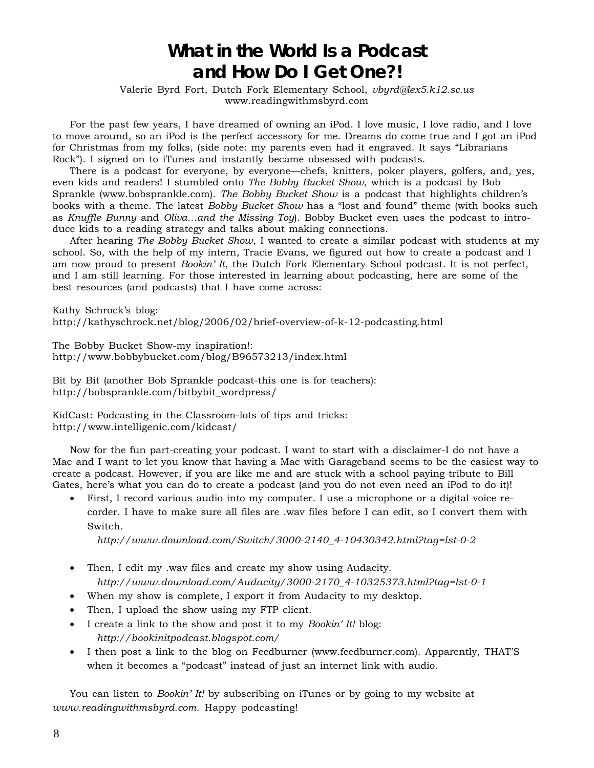# **What in the World Is a Podcast and How Do I Get One?!**

Valerie Byrd Fort, Dutch Fork Elementary School, *vbyrd@lex5.k12.sc.us* www.readingwithmsbyrd.com

For the past few years, I have dreamed of owning an iPod. I love music, I love radio, and I love to move around, so an iPod is the perfect accessory for me. Dreams do come true and I got an iPod for Christmas from my folks, (side note: my parents even had it engraved. It says "Librarians Rock"). I signed on to iTunes and instantly became obsessed with podcasts.

There is a podcast for everyone, by everyone—chefs, knitters, poker players, golfers, and, yes, even kids and readers! I stumbled onto *The Bobby Bucket Show*, which is a podcast by Bob Sprankle (www.bobsprankle.com). *The Bobby Bucket Show* is a podcast that highlights children's books with a theme. The latest *Bobby Bucket Show* has a "lost and found" theme (with books such as *Knuffle Bunny* and *Oliva…and the Missing Toy*). Bobby Bucket even uses the podcast to introduce kids to a reading strategy and talks about making connections.

After hearing *The Bobby Bucket Show*, I wanted to create a similar podcast with students at my school. So, with the help of my intern, Tracie Evans, we figured out how to create a podcast and I am now proud to present *Bookin' It*, the Dutch Fork Elementary School podcast. It is not perfect, and I am still learning. For those interested in learning about podcasting, here are some of the best resources (and podcasts) that I have come across:

Kathy Schrock's blog: http://kathyschrock.net/blog/2006/02/brief-overview-of-k-12-podcasting.html

The Bobby Bucket Show-my inspiration!: http://www.bobbybucket.com/blog/B96573213/index.html

Bit by Bit (another Bob Sprankle podcast-this one is for teachers): http://bobsprankle.com/bitbybit\_wordpress/

KidCast: Podcasting in the Classroom-lots of tips and tricks: http://www.intelligenic.com/kidcast/

Now for the fun part-creating your podcast. I want to start with a disclaimer-I do not have a Mac and I want to let you know that having a Mac with Garageband seems to be the easiest way to create a podcast. However, if you are like me and are stuck with a school paying tribute to Bill Gates, here's what you can do to create a podcast (and you do not even need an iPod to do it)!

• First, I record various audio into my computer. I use a microphone or a digital voice recorder. I have to make sure all files are .wav files before I can edit, so I convert them with Switch.

*http://www.download.com/Switch/3000-2140\_4-10430342.html?tag=lst-0-2*

- Then, I edit my .wav files and create my show using Audacity. *http://www.download.com/Audacity/3000-2170\_4-10325373.html?tag=lst-0-1*
- When my show is complete, I export it from Audacity to my desktop.
- Then, I upload the show using my FTP client.
- I create a link to the show and post it to my *Bookin' It!* blog: *http://bookinitpodcast.blogspot.com/*
- I then post a link to the blog on Feedburner (www.feedburner.com). Apparently, THAT'S when it becomes a "podcast" instead of just an internet link with audio.

You can listen to *Bookin' It!* by subscribing on iTunes or by going to my website at *www.readingwithmsbyrd.com*. Happy podcasting!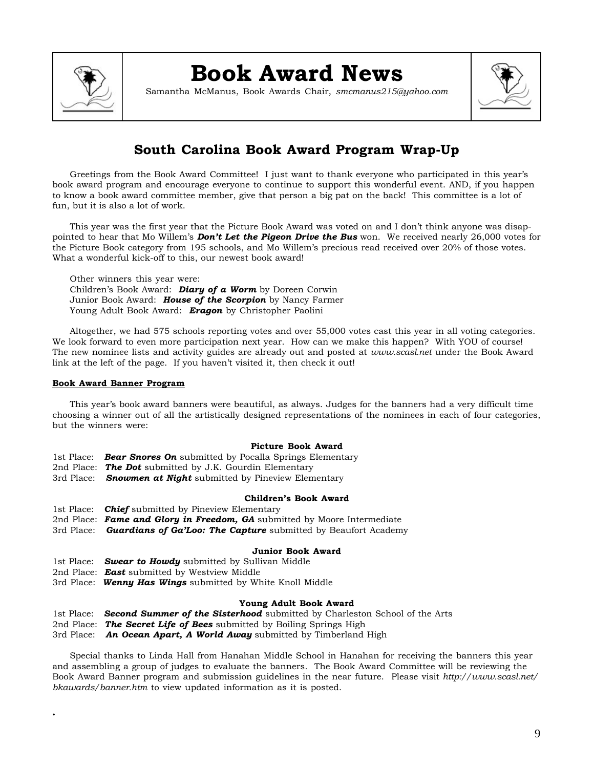

# **Book Award News**

Samantha McManus, Book Awards Chair, *smcmanus215@yahoo.com*



# **South Carolina Book Award Program Wrap-Up**

Greetings from the Book Award Committee! I just want to thank everyone who participated in this year's book award program and encourage everyone to continue to support this wonderful event. AND, if you happen to know a book award committee member, give that person a big pat on the back! This committee is a lot of fun, but it is also a lot of work.

This year was the first year that the Picture Book Award was voted on and I don't think anyone was disappointed to hear that Mo Willem's *Don't Let the Pigeon Drive the Bus* won. We received nearly 26,000 votes for the Picture Book category from 195 schools, and Mo Willem's precious read received over 20% of those votes. What a wonderful kick-off to this, our newest book award!

Other winners this year were: Children's Book Award: *Diary of a Worm* by Doreen Corwin Junior Book Award: *House of the Scorpion* by Nancy Farmer Young Adult Book Award: *Eragon* by Christopher Paolini

Altogether, we had 575 schools reporting votes and over 55,000 votes cast this year in all voting categories. We look forward to even more participation next year. How can we make this happen? With YOU of course! The new nominee lists and activity guides are already out and posted at *www.scasl.net* under the Book Award link at the left of the page. If you haven't visited it, then check it out!

## **Book Award Banner Program**

**.**

This year's book award banners were beautiful, as always. Judges for the banners had a very difficult time choosing a winner out of all the artistically designed representations of the nominees in each of four categories, but the winners were:

#### **Picture Book Award**

- 1st Place: *Bear Snores On* submitted by Pocalla Springs Elementary
- 2nd Place: *The Dot* submitted by J.K. Gourdin Elementary
- 3rd Place: *Snowmen at Night* submitted by Pineview Elementary

#### **Children's Book Award**

- 1st Place: *Chief* submitted by Pineview Elementary
- 2nd Place: *Fame and Glory in Freedom, GA* submitted by Moore Intermediate
- 3rd Place: *Guardians of Ga'Loo: The Capture* submitted by Beaufort Academy

### **Junior Book Award**

- 1st Place: *Swear to Howdy* submitted by Sullivan Middle
- 2nd Place: *East* submitted by Westview Middle
- 3rd Place: *Wenny Has Wings* submitted by White Knoll Middle

#### **Young Adult Book Award**

- 1st Place: *Second Summer of the Sisterhood* submitted by Charleston School of the Arts
- 2nd Place: *The Secret Life of Bees* submitted by Boiling Springs High
- 3rd Place: *An Ocean Apart, A World Away* submitted by Timberland High

Special thanks to Linda Hall from Hanahan Middle School in Hanahan for receiving the banners this year and assembling a group of judges to evaluate the banners. The Book Award Committee will be reviewing the Book Award Banner program and submission guidelines in the near future. Please visit *http://www.scasl.net/ bkawards/banner.htm* to view updated information as it is posted.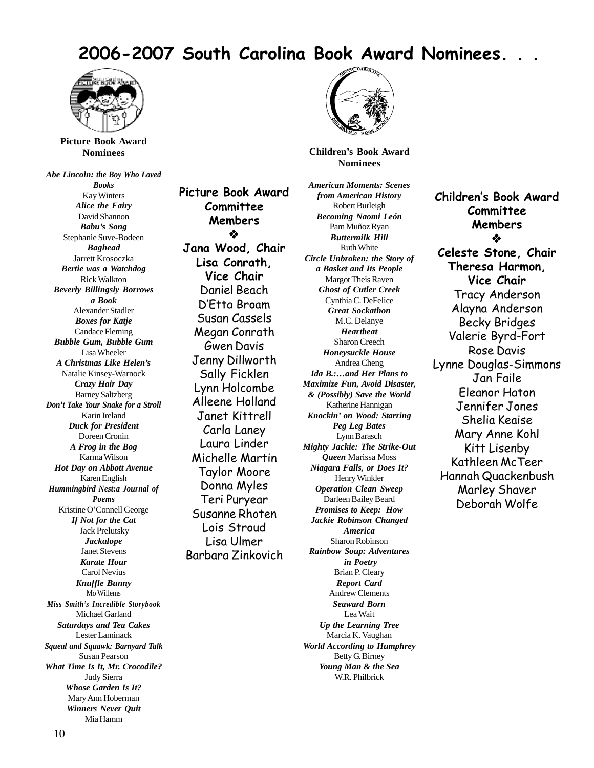# **2006-2007 South Carolina Book Award Nominees. . .**



**Picture Book Award Nominees**

*Abe Lincoln: the Boy Who Loved Books* Kay Winters *Alice the Fairy* David Shannon *Babu's Song* Stephanie Suve-Bodeen *Baghead* Jarrett Krosoczka *Bertie was a Watchdog* Rick Walkton *Beverly Billingsly Borrows a Book* Alexander Stadler *Boxes for Katje* Candace Fleming *Bubble Gum, Bubble Gum* Lisa Wheeler *A Christmas Like Helen's* Natalie Kinsey-Warnock *Crazy Hair Day* Barney Saltzberg *Don't Take Your Snake for a Stroll* Karin Ireland *Duck for President* Doreen Cronin *A Frog in the Bog* Karma Wilson *Hot Day on Abbott Avenue* Karen English *Hummingbird Nest:a Journal of Poems* Kristine O'Connell George *If Not for the Cat* Jack Prelutsky *Jackalope* Janet Stevens *Karate Hour* Carol Nevius *Knuffle Bunny* Mo Willems *Miss Smith's Incredible Storybook* Michael Garland *Saturdays and Tea Cakes* Lester Laminack *Squeal and Squawk: Barnyard Talk* Susan Pearson *What Time Is It, Mr. Crocodile?* Judy Sierra *Whose Garden Is It?* Mary Ann Hoberman *Winners Never Quit* Mia Hamm

**Picture Book Award Committee Members** ❖ **Jana Wood, Chair Lisa Conrath, Vice Chair** Daniel Beach D'Etta Broam Susan Cassels Megan Conrath Gwen Davis Jenny Dillworth Sally Ficklen Lynn Holcombe Alleene Holland Janet Kittrell Carla Laney Laura Linder Michelle Martin Taylor Moore Donna Myles Teri Puryear Susanne Rhoten Lois Stroud Lisa Ulmer Barbara Zinkovich



**Children's Book Award Nominees**

*American Moments: Scenes from American History* Robert Burleigh *Becoming Naomi León* Pam Muñoz Ryan *Buttermilk Hill* Ruth White *Circle Unbroken: the Story of a Basket and Its People* Margot Theis Raven *Ghost of Cutler Creek* Cynthia C. DeFelice *Great Sockathon* M.C. Delanye *Heartbeat* Sharon Creech *Honeysuckle House* Andrea Cheng *Ida B.:…and Her Plans to Maximize Fun, Avoid Disaster, & (Possibly) Save the World* Katherine Hannigan *Knockin' on Wood: Starring Peg Leg Bates* Lynn Barasch *Mighty Jackie: The Strike-Out Queen* Marissa Moss *Niagara Falls, or Does It?* Henry Winkler *Operation Clean Sweep* Darleen Bailey Beard *Promises to Keep: How Jackie Robinson Changed America* Sharon Robinson *Rainbow Soup: Adventures in Poetry* Brian P. Cleary *Report Card* Andrew Clements *Seaward Born* Lea Wait *Up the Learning Tree* Marcia K. Vaughan *World According to Humphrey* Betty G. Birney *Young Man & the Sea*

W.R. Philbrick

**Children's Book Award Committee Members** ❖ **Celeste Stone, Chair Theresa Harmon, Vice Chair** Tracy Anderson Alayna Anderson Becky Bridges Valerie Byrd-Fort Rose Davis Lynne Douglas-Simmons Jan Faile Eleanor Haton Jennifer Jones Shelia Keaise Mary Anne Kohl Kitt Lisenby Kathleen McTeer Hannah Quackenbush Marley Shaver Deborah Wolfe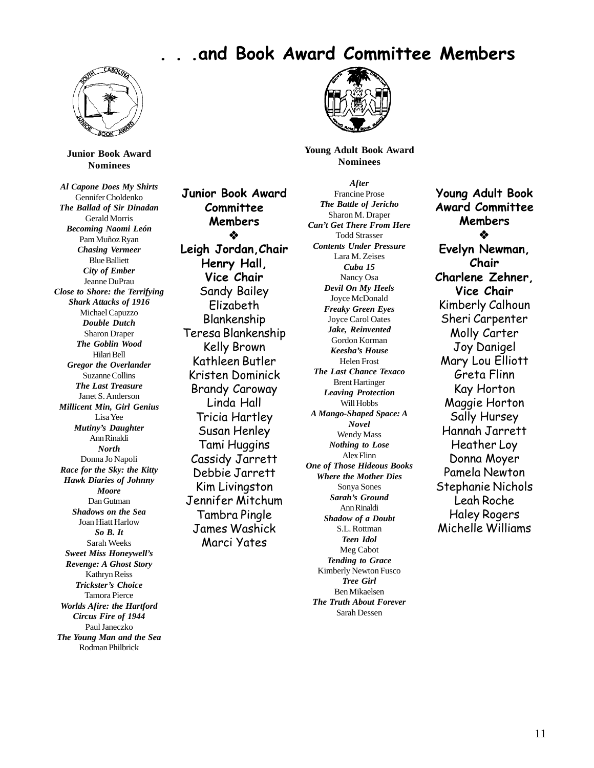# **. . .and Book Award Committee Members**



**Junior Book Award Nominees**

*Al Capone Does My Shirts* Gennifer Choldenko *The Ballad of Sir Dinadan* Gerald Morris *Becoming Naomi León* Pam Muñoz Ryan *Chasing Vermeer* Blue Balliett *City of Ember* Jeanne DuPrau *Close to Shore: the Terrifying Shark Attacks of 1916* Michael Capuzzo *Double Dutch* Sharon Draper *The Goblin Wood* Hilari Bell *Gregor the Overlander* Suzanne Collins *The Last Treasure* Janet S. Anderson *Millicent Min, Girl Genius* Lisa Yee *Mutiny's Daughter* Ann Rinaldi *North* Donna Jo Napoli *Race for the Sky: the Kitty Hawk Diaries of Johnny Moore* Dan Gutman *Shadows on the Sea* Joan Hiatt Harlow *So B. It* Sarah Weeks *Sweet Miss Honeywell's Revenge: A Ghost Story* Kathryn Reiss *Trickster's Choice* Tamora Pierce *Worlds Afire: the Hartford Circus Fire of 1944* Paul Janeczko *The Young Man and the Sea* Rodman Philbrick

**Junior Book Award Committee Members** ❖ **Leigh Jordan,Chair Henry Hall, Vice Chair** Sandy Bailey Elizabeth Blankenship Teresa Blankenship Kelly Brown Kathleen Butler Kristen Dominick Brandy Caroway Linda Hall Tricia Hartley Susan Henley Tami Huggins Cassidy Jarrett Debbie Jarrett Kim Livingston Jennifer Mitchum Tambra Pingle James Washick Marci Yates



**Young Adult Book Award Nominees**

*After* Francine Prose *The Battle of Jericho* Sharon M. Draper *Can't Get There From Here* Todd Strasser *Contents Under Pressure* Lara M. Zeises *Cuba 15* Nancy Osa *Devil On My Heels* Joyce McDonald *Freaky Green Eyes* Joyce Carol Oates *Jake, Reinvented* Gordon Korman *Keesha's House* Helen Frost *The Last Chance Texaco* Brent Hartinger *Leaving Protection* Will Hobbs *A Mango-Shaped Space: A Novel* Wendy Mass *Nothing to Lose* Alex Flinn *One of Those Hideous Books Where the Mother Dies* Sonya Sones *Sarah's Ground* Ann Rinaldi *Shadow of a Doubt* S.L. Rottman *Teen Idol* Meg Cabot *Tending to Grace* Kimberly Newton Fusco *Tree Girl* Ben Mikaelsen

*The Truth About Forever* Sarah Dessen

**Young Adult Book Award Committee Members**  $\bullet$ **Evelyn Newman, Chair Charlene Zehner, Vice Chair** Kimberly Calhoun Sheri Carpenter Molly Carter Joy Danigel Mary Lou Elliott Greta Flinn Kay Horton Maggie Horton Sally Hursey Hannah Jarrett Heather Loy Donna Moyer Pamela Newton Stephanie Nichols Leah Roche Haley Rogers Michelle Williams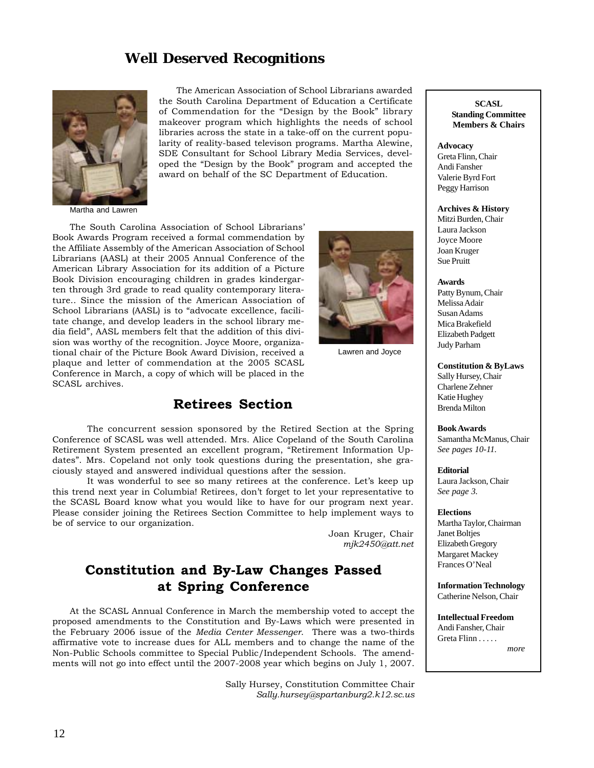# **Well Deserved Recognitions**



The American Association of School Librarians awarded the South Carolina Department of Education a Certificate of Commendation for the "Design by the Book" library makeover program which highlights the needs of school libraries across the state in a take-off on the current popularity of reality-based televison programs. Martha Alewine, SDE Consultant for School Library Media Services, developed the "Design by the Book" program and accepted the award on behalf of the SC Department of Education.

Martha and Lawren

The South Carolina Association of School Librarians' Book Awards Program received a formal commendation by the Affiliate Assembly of the American Association of School Librarians (AASL) at their 2005 Annual Conference of the American Library Association for its addition of a Picture Book Division encouraging children in grades kindergarten through 3rd grade to read quality contemporary literature.. Since the mission of the American Association of School Librarians (AASL) is to "advocate excellence, facilitate change, and develop leaders in the school library media field", AASL members felt that the addition of this division was worthy of the recognition. Joyce Moore, organizational chair of the Picture Book Award Division, received a plaque and letter of commendation at the 2005 SCASL Conference in March, a copy of which will be placed in the SCASL archives.

# **Retirees Section**

The concurrent session sponsored by the Retired Section at the Spring Conference of SCASL was well attended. Mrs. Alice Copeland of the South Carolina Retirement System presented an excellent program, "Retirement Information Updates". Mrs. Copeland not only took questions during the presentation, she graciously stayed and answered individual questions after the session.

It was wonderful to see so many retirees at the conference. Let's keep up this trend next year in Columbia! Retirees, don't forget to let your representative to the SCASL Board know what you would like to have for our program next year. Please consider joining the Retirees Section Committee to help implement ways to be of service to our organization.

> Joan Kruger, Chair *mjk2450@att.net*

Lawren and Joyce

# **Constitution and By-Law Changes Passed at Spring Conference**

At the SCASL Annual Conference in March the membership voted to accept the proposed amendments to the Constitution and By-Laws which were presented in the February 2006 issue of the *Media Center Messenger*. There was a two-thirds affirmative vote to increase dues for ALL members and to change the name of the Non-Public Schools committee to Special Public/Independent Schools. The amendments will not go into effect until the 2007-2008 year which begins on July 1, 2007.

> Sally Hursey, Constitution Committee Chair *Sally.hursey@spartanburg2.k12.sc.us*

**SCASL Standing Committee Members & Chairs**

#### **Advocacy**

Greta Flinn, Chair Andi Fansher Valerie Byrd Fort Peggy Harrison

**Archives & History**

Mitzi Burden, Chair Laura Jackson Joyce Moore Joan Kruger Sue Pruitt

#### **Awards**

Patty Bynum, Chair Melissa Adair Susan Adams Mica Brakefield Elizabeth Padgett Judy Parham

**Constitution & ByLaws** Sally Hursey, Chair

Charlene Zehner Katie Hughey Brenda Milton

**Book Awards** Samantha McManus, Chair *See pages 10-11.*

**Editorial**

Laura Jackson, Chair *See page 3.*

### **Elections**

Martha Taylor, Chairman Janet Boltjes Elizabeth Gregory Margaret Mackey Frances O'Neal

**Information Technology** Catherine Nelson, Chair

**Intellectual Freedom** Andi Fansher, Chair Greta Flinn . . . . .

*more*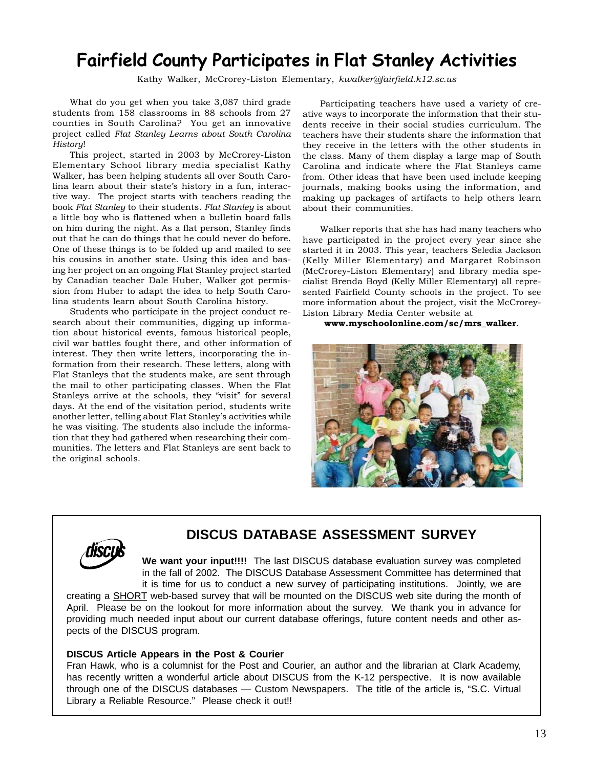# **Fairfield County Participates in Flat Stanley Activities**

Kathy Walker, McCrorey-Liston Elementary, *kwalker@fairfield.k12.sc.us*

What do you get when you take 3,087 third grade students from 158 classrooms in 88 schools from 27 counties in South Carolina? You get an innovative project called *Flat Stanley Learns about South Carolina History*!

This project, started in 2003 by McCrorey-Liston Elementary School library media specialist Kathy Walker, has been helping students all over South Carolina learn about their state's history in a fun, interactive way. The project starts with teachers reading the book *Flat Stanley* to their students. *Flat Stanley* is about a little boy who is flattened when a bulletin board falls on him during the night. As a flat person, Stanley finds out that he can do things that he could never do before. One of these things is to be folded up and mailed to see his cousins in another state. Using this idea and basing her project on an ongoing Flat Stanley project started by Canadian teacher Dale Huber, Walker got permission from Huber to adapt the idea to help South Carolina students learn about South Carolina history.

Students who participate in the project conduct research about their communities, digging up information about historical events, famous historical people, civil war battles fought there, and other information of interest. They then write letters, incorporating the information from their research. These letters, along with Flat Stanleys that the students make, are sent through the mail to other participating classes. When the Flat Stanleys arrive at the schools, they "visit" for several days. At the end of the visitation period, students write another letter, telling about Flat Stanley's activities while he was visiting. The students also include the information that they had gathered when researching their communities. The letters and Flat Stanleys are sent back to the original schools.

Participating teachers have used a variety of creative ways to incorporate the information that their students receive in their social studies curriculum. The teachers have their students share the information that they receive in the letters with the other students in the class. Many of them display a large map of South Carolina and indicate where the Flat Stanleys came from. Other ideas that have been used include keeping journals, making books using the information, and making up packages of artifacts to help others learn about their communities.

Walker reports that she has had many teachers who have participated in the project every year since she started it in 2003. This year, teachers Seledia Jackson (Kelly Miller Elementary) and Margaret Robinson (McCrorey-Liston Elementary) and library media specialist Brenda Boyd (Kelly Miller Elementary) all represented Fairfield County schools in the project. To see more information about the project, visit the McCrorey-Liston Library Media Center website at

## **www.myschoolonline.com/sc/mrs\_walker**.





# **DISCUS DATABASE ASSESSMENT SURVEY**

**We want your input!!!!** The last DISCUS database evaluation survey was completed in the fall of 2002. The DISCUS Database Assessment Committee has determined that it is time for us to conduct a new survey of participating institutions. Jointly, we are creating a SHORT web-based survey that will be mounted on the DISCUS web site during the month of April. Please be on the lookout for more information about the survey. We thank you in advance for providing much needed input about our current database offerings, future content needs and other aspects of the DISCUS program.

# **DISCUS Article Appears in the Post & Courier**

Fran Hawk, who is a columnist for the Post and Courier, an author and the librarian at Clark Academy, has recently written a wonderful article about DISCUS from the K-12 perspective. It is now available through one of the DISCUS databases — Custom Newspapers. The title of the article is, "S.C. Virtual Library a Reliable Resource." Please check it out!!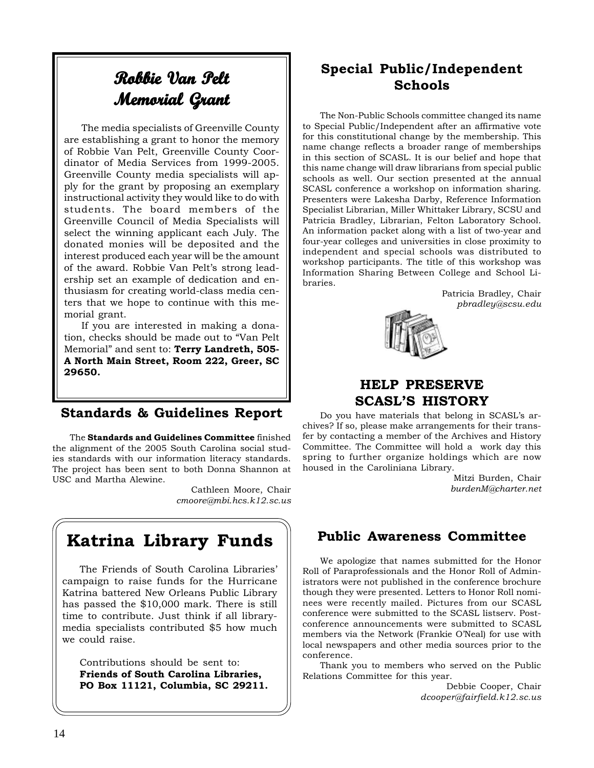# **Robbie Van Pelt Memorial Grant Grant Memorial**

The media specialists of Greenville County are establishing a grant to honor the memory of Robbie Van Pelt, Greenville County Coordinator of Media Services from 1999-2005. Greenville County media specialists will apply for the grant by proposing an exemplary instructional activity they would like to do with students. The board members of the Greenville Council of Media Specialists will select the winning applicant each July. The donated monies will be deposited and the interest produced each year will be the amount of the award. Robbie Van Pelt's strong leadership set an example of dedication and enthusiasm for creating world-class media centers that we hope to continue with this memorial grant.

If you are interested in making a donation, checks should be made out to "Van Pelt Memorial" and sent to: **Terry Landreth, 505- A North Main Street, Room 222, Greer, SC 29650.**

# **Standards & Guidelines Report**

The **Standards and Guidelines Committee** finished the alignment of the 2005 South Carolina social studies standards with our information literacy standards. The project has been sent to both Donna Shannon at USC and Martha Alewine.

> Cathleen Moore, Chair *cmoore@mbi.hcs.k12.sc.us*

# **Katrina Library Funds**

The Friends of South Carolina Libraries' campaign to raise funds for the Hurricane Katrina battered New Orleans Public Library has passed the \$10,000 mark. There is still time to contribute. Just think if all librarymedia specialists contributed \$5 how much we could raise.

Contributions should be sent to: **Friends of South Carolina Libraries, PO Box 11121, Columbia, SC 29211.**

# **Special Public/Independent Schools**

The Non-Public Schools committee changed its name to Special Public/Independent after an affirmative vote for this constitutional change by the membership. This name change reflects a broader range of memberships in this section of SCASL. It is our belief and hope that this name change will draw librarians from special public schools as well. Our section presented at the annual SCASL conference a workshop on information sharing. Presenters were Lakesha Darby, Reference Information Specialist Librarian, Miller Whittaker Library, SCSU and Patricia Bradley, Librarian, Felton Laboratory School. An information packet along with a list of two-year and four-year colleges and universities in close proximity to independent and special schools was distributed to workshop participants. The title of this workshop was Information Sharing Between College and School Libraries.

> Patricia Bradley, Chair *pbradley@scsu.edu*



# **HELP PRESERVE SCASL'S HISTORY**

Do you have materials that belong in SCASL's archives? If so, please make arrangements for their transfer by contacting a member of the Archives and History Committee. The Committee will hold a work day this spring to further organize holdings which are now housed in the Caroliniana Library.

> Mitzi Burden, Chair *burdenM@charter.net*

# **Public Awareness Committee**

We apologize that names submitted for the Honor Roll of Paraprofessionals and the Honor Roll of Administrators were not published in the conference brochure though they were presented. Letters to Honor Roll nominees were recently mailed. Pictures from our SCASL conference were submitted to the SCASL listserv. Postconference announcements were submitted to SCASL members via the Network (Frankie O'Neal) for use with local newspapers and other media sources prior to the conference.

Thank you to members who served on the Public Relations Committee for this year.

> Debbie Cooper, Chair *dcooper@fairfield.k12.sc.us*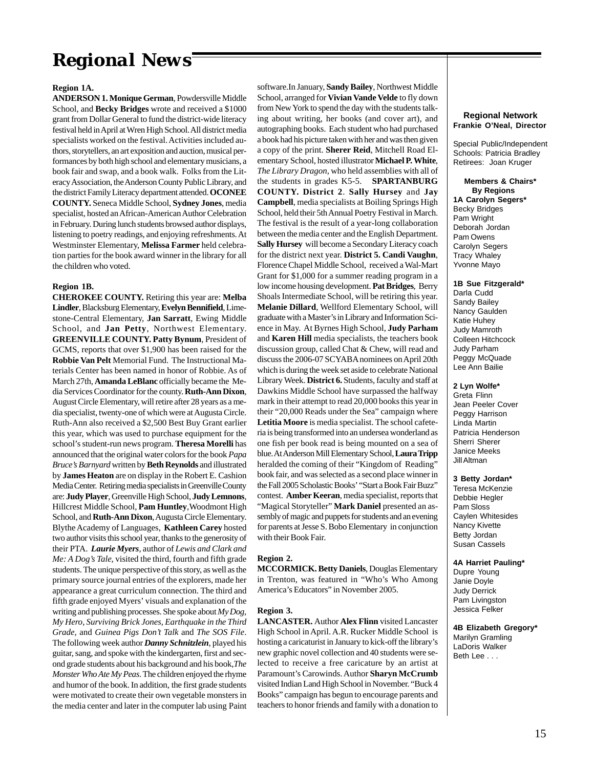# *Regional News*

#### **Region 1A.**

**ANDERSON 1. Monique German**, Powdersville Middle School, and **Becky Bridges** wrote and received a \$1000 grant from Dollar General to fund the district-wide literacy festival held in April at Wren High School. All district media specialists worked on the festival. Activities included authors, storytellers, an art exposition and auction, musical performances by both high school and elementary musicians, a book fair and swap, and a book walk. Folks from the Literacy Association, the Anderson County Public Library, and the district Family Literacy department attended. **OCONEE COUNTY.** Seneca Middle School, **Sydney Jones**, media specialist, hosted an African-American Author Celebration in February. During lunch students browsed author displays, listening to poetry readings, and enjoying refreshments. At Westminster Elementary, **Melissa Farmer** held celebration parties for the book award winner in the library for all the children who voted.

#### **Region 1B.**

**CHEROKEE COUNTY.** Retiring this year are: **Melba Lindler**, Blacksburg Elementary, **Evelyn Bennifield**, Limestone-Central Elementary, **Jan Sarratt**, Ewing Middle School, and **Jan Petty**, Northwest Elementary. **GREENVILLE COUNTY. Patty Bynum**, President of GCMS, reports that over \$1,900 has been raised for the **Robbie Van Pelt** Memorial Fund. The Instructional Materials Center has been named in honor of Robbie. As of March 27th, **Amanda LeBlanc** officially became the Media Services Coordinator for the county. **Ruth-Ann Dixon**, August Circle Elementary, will retire after 28 years as a media specialist, twenty-one of which were at Augusta Circle. Ruth-Ann also received a \$2,500 Best Buy Grant earlier this year, which was used to purchase equipment for the school's student-run news program. **Theresa Morelli** has announced that the original water colors for the book *Papa Bruce's Barnyard* written by **Beth Reynolds** and illustrated by **James Heaton** are on display in the Robert E. Cashion Media Center. Retiring media specialists in Greenville County are: **Judy Player**, Greenville High School, **Judy Lemnons**, Hillcrest Middle School, **Pam Huntley**,Woodmont High School, and **Ruth-Ann Dixon**, Augusta Circle Elementary. Blythe Academy of Languages, **Kathleen Carey** hosted two author visits this school year, thanks to the generosity of their PTA. *Laurie Myers*, author of *Lewis and Clark and Me: A Dog's Tale*, visited the third, fourth and fifth grade students. The unique perspective of this story, as well as the primary source journal entries of the explorers, made her appearance a great curriculum connection. The third and fifth grade enjoyed Myers' visuals and explanation of the writing and publishing processes. She spoke about *My Dog, My Hero*, *Surviving Brick Jones, Earthquake in the Third Grade,* and *Guinea Pigs Don't Talk* and *The SOS File*. The following week author *Danny Schnitzlein*, played his guitar, sang, and spoke with the kindergarten, first and second grade students about his background and his book,*The Monster Who Ate My Peas*. The children enjoyed the rhyme and humor of the book. In addition, the first grade students were motivated to create their own vegetable monsters in the media center and later in the computer lab using Paint software.In January, **Sandy Bailey**, Northwest Middle School, arranged for **Vivian Vande Velde** to fly down from New York to spend the day with the students talking about writing, her books (and cover art), and autographing books. Each student who had purchased a book had his picture taken with her and was then given a copy of the print. **Sherer Reid**, Mitchell Road Elementary School, hosted illustrator **Michael P. White**, *The Library Dragon,* who held assemblies with all of the students in grades K5-5. **SPARTANBURG COUNTY. District 2**. **Sally Hursey** and **Jay Campbell**, media specialists at Boiling Springs High School, held their 5th Annual Poetry Festival in March. The festival is the result of a year-long collaboration between the media center and the English Department. **Sally Hursey** will become a Secondary Literacy coach for the district next year. **District 5. Candi Vaughn**, Florence Chapel Middle School, received a Wal-Mart Grant for \$1,000 for a summer reading program in a low income housing development. **Pat Bridges**, Berry Shoals Intermediate School, will be retiring this year. **Melanie Dillard**, Wellford Elementary School, will graduate with a Master's in Library and Information Science in May. At Byrnes High School, **Judy Parham** and **Karen Hill** media specialists, the teachers book discussion group, called Chat & Chew, will read and discuss the 2006-07 SCYABA nominees on April 20th which is during the week set aside to celebrate National Library Week. **District 6.** Students, faculty and staff at Dawkins Middle School have surpassed the halfway mark in their attempt to read 20,000 books this year in their "20,000 Reads under the Sea" campaign where **Letitia Moore** is media specialist. The school cafeteria is being transformed into an undersea wonderland as one fish per book read is being mounted on a sea of blue. At Anderson Mill Elementary School, **Laura Tripp** heralded the coming of their "Kingdom of Reading" book fair, and was selected as a second place winner in the Fall 2005 Scholastic Books' "Start a Book Fair Buzz" contest. **Amber Keeran**, media specialist, reports that "Magical Storyteller" **Mark Daniel** presented an assembly of magic and puppets for students and an evening for parents at Jesse S. Bobo Elementary in conjunction with their Book Fair.

## **Region 2.**

**MCCORMICK.Betty Daniels**, Douglas Elementary in Trenton, was featured in "Who's Who Among America's Educators" in November 2005.

#### **Region 3.**

**LANCASTER.** Author **Alex Flinn** visited Lancaster High School in April. A.R. Rucker Middle School is hosting a caricaturist in January to kick-off the library's new graphic novel collection and 40 students were selected to receive a free caricature by an artist at Paramount's Carowinds. Author **Sharyn McCrumb** visited Indian Land High School in November. "Buck 4 Books" campaign has begun to encourage parents and teachers to honor friends and family with a donation to

#### **Regional Network Frankie O'Neal, Director**

Special Public/Independent Schools: Patricia Bradley Retirees: Joan Kruger

 **Members & Chairs\* By Regions 1A Carolyn Segers\*** Becky Bridges Pam Wright Deborah Jordan Pam Owens Carolyn Segers Tracy Whaley Yvonne Mayo

**1B Sue Fitzgerald\*** Darla Cudd Sandy Bailey Nancy Gaulden Katie Huhey Judy Mamroth Colleen Hitchcock Judy Parham Peggy McQuade Lee Ann Bailie

**2 Lyn Wolfe\*** Greta Flinn Jean Peeler Cover Peggy Harrison Linda Martin Patricia Henderson Sherri Sherer Janice Meeks Jill Altman

## **3 Betty Jordan\***

Teresa McKenzie Debbie Hegler Pam Sloss Caylen Whitesides Nancy Kivette Betty Jordan Susan Cassels

#### **4A Harriet Pauling\***

Dupre Young Janie Doyle Judy Derrick Pam Livingston Jessica Felker

**4B Elizabeth Gregory\*** Marilyn Gramling LaDoris Walker Beth Lee . . .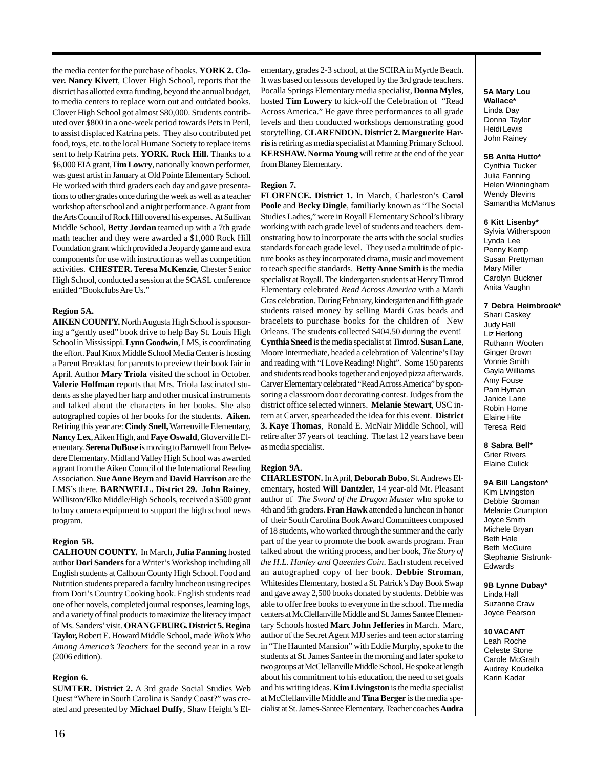the media center for the purchase of books. **YORK 2. Clover. Nancy Kivett**, Clover High School, reports that the district has allotted extra funding, beyond the annual budget, to media centers to replace worn out and outdated books. Clover High School got almost \$80,000. Students contributed over \$800 in a one-week period towards Pets in Peril, to assist displaced Katrina pets. They also contributed pet food, toys, etc. to the local Humane Society to replace items sent to help Katrina pets. **YORK. Rock Hill.** Thanks to a \$6,000 EIA grant,**Tim Lowry**, nationally known performer, was guest artist in January at Old Pointe Elementary School. He worked with third graders each day and gave presentations to other grades once during the week as well as a teacher workshop after school and a night performance. A grant from the Arts Council of Rock Hill covered his expenses. At Sullivan Middle School, **Betty Jordan** teamed up with a 7th grade math teacher and they were awarded a \$1,000 Rock Hill Foundation grant which provided a Jeopardy game and extra components for use with instruction as well as competition activities. **CHESTER. Teresa McKenzie**, Chester Senior High School, conducted a session at the SCASL conference entitled "Bookclubs Are Us."

## **Region 5A.**

**AIKEN COUNTY.** North Augusta High School is sponsoring a "gently used" book drive to help Bay St. Louis High School in Mississippi. **LynnGoodwin**, LMS, is coordinating the effort. Paul Knox Middle School Media Center is hosting a Parent Breakfast for parents to preview their book fair in April. Author **Mary Triola** visited the school in October. **Valerie Hoffman** reports that Mrs. Triola fascinated students as she played her harp and other musical instruments and talked about the characters in her books. She also autographed copies of her books for the students. **Aiken.** Retiring this year are: **Cindy Snell,** Warrenville Elementary, **Nancy Lex**, Aiken High, and **Faye Oswald**, Gloverville Elementary. **Serena DuBose** is moving to Barnwell from Belvedere Elementary. Midland Valley High School was awarded a grant from the Aiken Council of the International Reading Association. **Sue Anne Beym** and **David Harrison** are the LMS's there. **BARNWELL. District 29. John Rainey**, Williston/Elko Middle/High Schools, received a \$500 grant to buy camera equipment to support the high school news program.

#### **Region 5B.**

**CALHOUN COUNTY.** In March, **Julia Fanning** hosted author **Dori Sanders** for a Writer's Workshop including all English students at Calhoun County High School. Food and Nutrition students prepared a faculty luncheon using recipes from Dori's Country Cooking book. English students read one of her novels, completed journal responses, learning logs, and a variety of final products to maximize the literacy impact of Ms. Sanders' visit. **ORANGEBURG. District 5. Regina Taylor,** Robert E. Howard Middle School, made *Who's Who Among America's Teachers* for the second year in a row (2006 edition).

#### **Region 6.**

**SUMTER. District 2.** A 3rd grade Social Studies Web Quest "Where in South Carolina is Sandy Coast?" was created and presented by **Michael Duffy**, Shaw Height's El-

ementary, grades 2-3 school, at the SCIRA in Myrtle Beach. It was based on lessons developed by the 3rd grade teachers. Pocalla Springs Elementary media specialist, **Donna Myles**, hosted **Tim Lowery** to kick-off the Celebration of "Read Across America." He gave three performances to all grade levels and then conducted workshops demonstrating good storytelling. **CLARENDON. District 2. Marguerite Harris** is retiring as media specialist at Manning Primary School. **KERSHAW. Norma Young** will retire at the end of the year from Blaney Elementary.

#### **Region 7.**

**FLORENCE. District 1.** In March, Charleston's **Carol Poole** and **Becky Dingle**, familiarly known as "The Social Studies Ladies," were in Royall Elementary School's library working with each grade level of students and teachers demonstrating how to incorporate the arts with the social studies standards for each grade level. They used a multitude of picture books as they incorporated drama, music and movement to teach specific standards. **Betty Anne Smith** is the media specialist at Royall. The kindergarten students at Henry Timrod Elementary celebrated *Read Across America* with a Mardi Gras celebration. During February, kindergarten and fifth grade students raised money by selling Mardi Gras beads and bracelets to purchase books for the children of New Orleans. The students collected \$404.50 during the event! **Cynthia Sneed** is the media specialist at Timrod. **Susan Lane**, Moore Intermediate, headed a celebration of Valentine's Day and reading with "I Love Reading! Night". Some 150 parents and students read books together and enjoyed pizza afterwards. Carver Elementary celebrated "Read Across America" by sponsoring a classroom door decorating contest. Judges from the district office selected winners. **Melanie Stewart**, USC intern at Carver, spearheaded the idea for this event. **District 3. Kaye Thomas**, Ronald E. McNair Middle School, will retire after 37 years of teaching. The last 12 years have been as media specialist.

#### **Region 9A.**

**CHARLESTON.** In April, **Deborah Bobo**, St. Andrews Elementary, hosted **Will Dantzler**, 14 year-old Mt. Pleasant author of *The Sword of the Dragon Master* who spoke to 4th and 5th graders. **Fran Hawk** attended a luncheon in honor of their South Carolina Book Award Committees composed of 18 students, who worked through the summer and the early part of the year to promote the book awards program. Fran talked about the writing process, and her book, *The Story of the H.L. Hunley and Queenies Coin*. Each student received an autographed copy of her book. **Debbie Stroman**, Whitesides Elementary, hosted a St. Patrick's Day Book Swap and gave away 2,500 books donated by students. Debbie was able to offer free books to everyone in the school. The media centers at McClellanville Middle and St. James Santee Elementary Schools hosted **Marc John Jefferies** in March. Marc, author of the Secret Agent MJJ series and teen actor starring in "The Haunted Mansion" with Eddie Murphy, spoke to the students at St. James Santee in the morning and later spoke to two groups at McClellanville Middle School. He spoke at length about his commitment to his education, the need to set goals and his writing ideas. **Kim Livingston** is the media specialist at McClellanville Middle and **Tina Berger** is the media specialist at St. James-Santee Elementary. Teacher coaches **Audra**

#### **5A Mary Lou Wallace\*** Linda Day Donna Taylor Heidi Lewis John Rainey

#### **5B Anita Hutto\***

Cynthia Tucker Julia Fanning Helen Winningham Wendy Blevins Samantha McManus

#### **6 Kitt Lisenby\***

Sylvia Witherspoon Lynda Lee Penny Kemp Susan Prettyman Mary Miller Carolyn Buckner Anita Vaughn

## **7 Debra Heimbrook\***

Shari Caskey Judy Hall Liz Herlong Ruthann Wooten Ginger Brown Vonnie Smith Gayla Williams Amy Fouse Pam Hyman Janice Lane Robin Horne Elaine Hite Teresa Reid

#### **8 Sabra Bell\***

Grier Rivers Elaine Culick

#### **9A Bill Langston\***

Kim Livingston Debbie Stroman Melanie Crumpton Joyce Smith Michele Bryan Beth Hale Beth McGuire Stephanie Sistrunk-Edwards

# **9B Lynne Dubay\*** Linda Hall

Suzanne Craw Joyce Pearson

#### **10 VACANT**

Leah Roche Celeste Stone Carole McGrath Audrey Koudelka Karin Kadar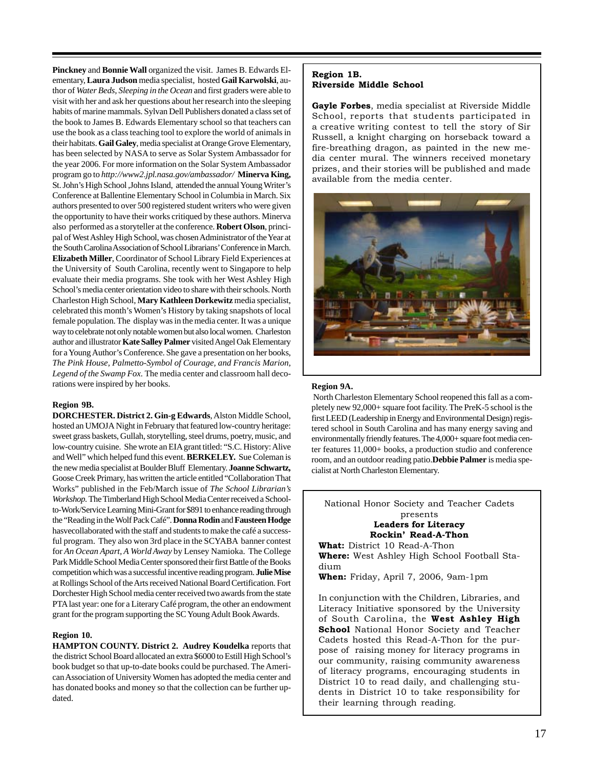**Pinckney** and **Bonnie Wall** organized the visit. James B. Edwards Elementary, **Laura Judson** media specialist, hosted **Gail Karwolski**, author of *Water Beds, Sleeping in the Ocean* and first graders were able to visit with her and ask her questions about her research into the sleeping habits of marine mammals. Sylvan Dell Publishers donated a class set of the book to James B. Edwards Elementary school so that teachers can use the book as a class teaching tool to explore the world of animals in their habitats. **Gail Galey**, media specialist at Orange Grove Elementary, has been selected by NASA to serve as Solar System Ambassador for the year 2006. For more information on the Solar System Ambassador program go to *http://www2.jpl.nasa.gov/ambassador/* **Minerva King,** St. John's High School ,Johns Island, attended the annual Young Writer's Conference at Ballentine Elementary School in Columbia in March. Six authors presented to over 500 registered student writers who were given the opportunity to have their works critiqued by these authors. Minerva also performed as a storyteller at the conference. **Robert Olson**, principal of West Ashley High School, was chosen Administrator of the Year at the South Carolina Association of School Librarians' Conference in March. **Elizabeth Miller**, Coordinator of School Library Field Experiences at the University of South Carolina, recently went to Singapore to help evaluate their media programs. She took with her West Ashley High School's media center orientation video to share with their schools. North Charleston High School, **Mary Kathleen Dorkewitz** media specialist, celebrated this month's Women's History by taking snapshots of local female population. The display was in the media center. It was a unique way to celebrate not only notable women but also local women. Charleston author and illustrator **Kate Salley Palmer** visited Angel Oak Elementary for a Young Author's Conference. She gave a presentation on her books, *The Pink House, Palmetto-Symbol of Courage, and Francis Marion, Legend of the Swamp Fox.* The media center and classroom hall decorations were inspired by her books.

## **Region 9B.**

**DORCHESTER. District 2. Gin-g Edwards**, Alston Middle School, hosted an UMOJA Night in February that featured low-country heritage: sweet grass baskets, Gullah, storytelling, steel drums, poetry, music, and low-country cuisine. She wrote an EIA grant titled: "S.C. History: Alive and Well" which helped fund this event. **BERKELEY.** Sue Coleman is the new media specialist at Boulder Bluff Elementary. **Joanne Schwartz,** Goose Creek Primary, has written the article entitled "Collaboration That Works" published in the Feb/March issue of *The School Librarian's Workshop.* The Timberland High School Media Center received a Schoolto-Work/Service Learning Mini-Grant for \$891 to enhance reading through the "Reading in the Wolf Pack Café". **Donna Rodin** and **Fausteen Hodge** hasvecollaborated with the staff and students to make the café a successful program. They also won 3rd place in the SCYABA banner contest for *An Ocean Apart, A World Away* by Lensey Namioka. The College Park Middle School Media Center sponsored their first Battle of the Books competition which was a successful incentive reading program. **Julie Mise** at Rollings School of the Arts received National Board Certification. Fort Dorchester High School media center received two awards from the state PTA last year: one for a Literary Café program, the other an endowment grant for the program supporting the SC Young Adult Book Awards.

## **Region 10.**

**HAMPTON COUNTY. District 2. Audrey Koudelka** reports that the district School Board allocated an extra \$6000 to Estill High School's book budget so that up-to-date books could be purchased. The American Association of University Women has adopted the media center and has donated books and money so that the collection can be further updated.

## **Region 1B. Riverside Middle School**

**Gayle Forbes**, media specialist at Riverside Middle School, reports that students participated in a creative writing contest to tell the story of Sir Russell, a knight charging on horseback toward a fire-breathing dragon, as painted in the new media center mural. The winners received monetary prizes, and their stories will be published and made available from the media center.



#### **Region 9A.**

 North Charleston Elementary School reopened this fall as a completely new 92,000+ square foot facility. The PreK-5 school is the first LEED (Leadership in Energy and Environmental Design) registered school in South Carolina and has many energy saving and environmentally friendly features. The 4,000+ square foot media center features 11,000+ books, a production studio and conference room, and an outdoor reading patio.**Debbie Palmer** is media specialist at North Charleston Elementary.

National Honor Society and Teacher Cadets presents **Leaders for Literacy Rockin' Read-A-Thon**

**What:** District 10 Read-A-Thon **Where:** West Ashley High School Football Stadium

**When:** Friday, April 7, 2006, 9am-1pm

In conjunction with the Children, Libraries, and Literacy Initiative sponsored by the University of South Carolina, the **West Ashley High School** National Honor Society and Teacher Cadets hosted this Read-A-Thon for the purpose of raising money for literacy programs in our community, raising community awareness of literacy programs, encouraging students in District 10 to read daily, and challenging students in District 10 to take responsibility for their learning through reading.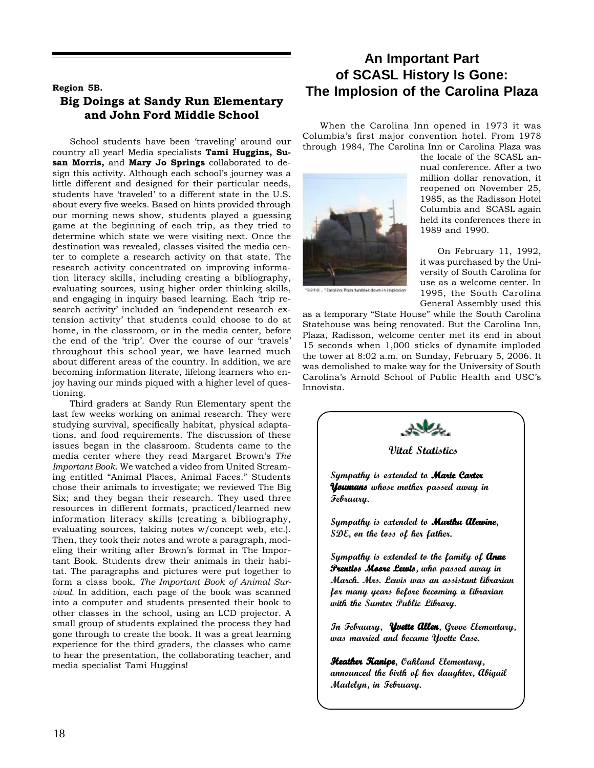# **Region 5B. Big Doings at Sandy Run Elementary and John Ford Middle School**

School students have been 'traveling' around our country all year! Media specialists **Tami Huggins, Susan Morris,** and **Mary Jo Springs** collaborated to design this activity. Although each school's journey was a little different and designed for their particular needs, students have 'traveled' to a different state in the U.S. about every five weeks. Based on hints provided through our morning news show, students played a guessing game at the beginning of each trip, as they tried to determine which state we were visiting next. Once the destination was revealed, classes visited the media center to complete a research activity on that state. The research activity concentrated on improving information literacy skills, including creating a bibliography, evaluating sources, using higher order thinking skills, and engaging in inquiry based learning. Each 'trip research activity' included an 'independent research extension activity' that students could choose to do at home, in the classroom, or in the media center, before the end of the 'trip'. Over the course of our 'travels' throughout this school year, we have learned much about different areas of the country. In addition, we are becoming information literate, lifelong learners who enjoy having our minds piqued with a higher level of questioning.

Third graders at Sandy Run Elementary spent the last few weeks working on animal research. They were studying survival, specifically habitat, physical adaptations, and food requirements. The discussion of these issues began in the classroom. Students came to the media center where they read Margaret Brown's *The Important Book*. We watched a video from United Streaming entitled "Animal Places, Animal Faces." Students chose their animals to investigate; we reviewed The Big Six; and they began their research. They used three resources in different formats, practiced/learned new information literacy skills (creating a bibliography, evaluating sources, taking notes w/concept web, etc.). Then, they took their notes and wrote a paragraph, modeling their writing after Brown's format in The Important Book. Students drew their animals in their habitat. The paragraphs and pictures were put together to form a class book, *The Important Book of Animal Survival.* In addition, each page of the book was scanned into a computer and students presented their book to other classes in the school, using an LCD projector. A small group of students explained the process they had gone through to create the book. It was a great learning experience for the third graders, the classes who came to hear the presentation, the collaborating teacher, and media specialist Tami Huggins!

# **An Important Part of SCASL History Is Gone: The Implosion of the Carolina Plaza**

When the Carolina Inn opened in 1973 it was Columbia's first major convention hotel. From 1978 through 1984, The Carolina Inn or Carolina Plaza was



Carolina Rata tunbles down in implosion

the locale of the SCASL annual conference. After a two million dollar renovation, it reopened on November 25, 1985, as the Radisson Hotel Columbia and SCASL again held its conferences there in 1989 and 1990.

On February 11, 1992, it was purchased by the University of South Carolina for use as a welcome center. In 1995, the South Carolina General Assembly used this

as a temporary "State House" while the South Carolina Statehouse was being renovated. But the Carolina Inn, Plaza, Radisson, welcome center met its end in about 15 seconds when 1,000 sticks of dynamite imploded the tower at 8:02 a.m. on Sunday, February 5, 2006. It was demolished to make way for the University of South Carolina's Arnold School of Public Health and USC's Innovista.



**Vital Statistics**

**Sympathy is extended to Marie Carter Youmans whose mother passed away in Youmans February.**

**Sympathy is extended to Martha Alewine, SDE, on the loss of her father.**

**Sympathy is extended to the family of Anne** *Prentiss Moore Lewis, who passed away in* **March. Mrs. Lewis was an assistant librarian for many years before becoming a librarian with the Sumter Public Library.**

**In February, Yvette Allen, Grove Elementary, Yvette Allen was married and became Yvette Case.**

**Heather Kanipe, Oakland Elementary, e announced the birth of her daughter, Abigail Madelyn, in February.**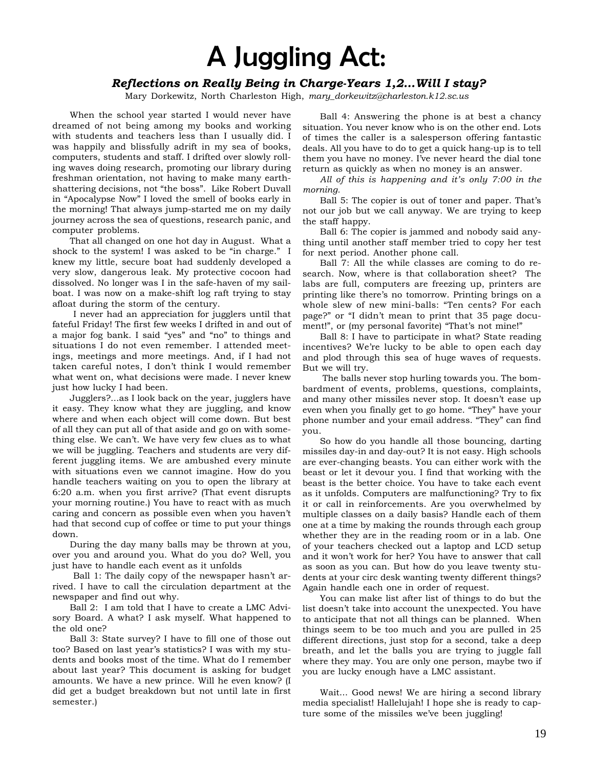# A Juggling Act:

# *Reflections on Really Being in Charge-Years 1,2…Will I stay?*

Mary Dorkewitz, North Charleston High, *mary\_dorkewitz@charleston.k12.sc.us*

When the school year started I would never have dreamed of not being among my books and working with students and teachers less than I usually did. I was happily and blissfully adrift in my sea of books, computers, students and staff. I drifted over slowly rolling waves doing research, promoting our library during freshman orientation, not having to make many earthshattering decisions, not "the boss". Like Robert Duvall in "Apocalypse Now" I loved the smell of books early in the morning! That always jump-started me on my daily journey across the sea of questions, research panic, and computer problems.

That all changed on one hot day in August. What a shock to the system! I was asked to be "in charge." I knew my little, secure boat had suddenly developed a very slow, dangerous leak. My protective cocoon had dissolved. No longer was I in the safe-haven of my sailboat. I was now on a make-shift log raft trying to stay afloat during the storm of the century.

 I never had an appreciation for jugglers until that fateful Friday! The first few weeks I drifted in and out of a major fog bank. I said "yes" and "no" to things and situations I do not even remember. I attended meetings, meetings and more meetings. And, if I had not taken careful notes, I don't think I would remember what went on, what decisions were made. I never knew just how lucky I had been.

Jugglers?...as I look back on the year, jugglers have it easy. They know what they are juggling, and know where and when each object will come down. But best of all they can put all of that aside and go on with something else. We can't. We have very few clues as to what we will be juggling. Teachers and students are very different juggling items. We are ambushed every minute with situations even we cannot imagine. How do you handle teachers waiting on you to open the library at 6:20 a.m. when you first arrive? (That event disrupts your morning routine.) You have to react with as much caring and concern as possible even when you haven't had that second cup of coffee or time to put your things down.

During the day many balls may be thrown at you, over you and around you. What do you do? Well, you just have to handle each event as it unfolds

 Ball 1: The daily copy of the newspaper hasn't arrived. I have to call the circulation department at the newspaper and find out why.

Ball 2: I am told that I have to create a LMC Advisory Board. A what? I ask myself. What happened to the old one?

Ball 3: State survey? I have to fill one of those out too? Based on last year's statistics? I was with my students and books most of the time. What do I remember about last year? This document is asking for budget amounts. We have a new prince. Will he even know? (I did get a budget breakdown but not until late in first semester.)

Ball 4: Answering the phone is at best a chancy situation. You never know who is on the other end. Lots of times the caller is a salesperson offering fantastic deals. All you have to do to get a quick hang-up is to tell them you have no money. I've never heard the dial tone return as quickly as when no money is an answer.

*All of this is happening and it's only 7:00 in the morning.*

Ball 5: The copier is out of toner and paper. That's not our job but we call anyway. We are trying to keep the staff happy.

Ball 6: The copier is jammed and nobody said anything until another staff member tried to copy her test for next period. Another phone call.

Ball 7: All the while classes are coming to do research. Now, where is that collaboration sheet? The labs are full, computers are freezing up, printers are printing like there's no tomorrow. Printing brings on a whole slew of new mini-balls: "Ten cents? For each page?" or "I didn't mean to print that 35 page document!", or (my personal favorite) "That's not mine!"

Ball 8: I have to participate in what? State reading incentives? We're lucky to be able to open each day and plod through this sea of huge waves of requests. But we will try.

 The balls never stop hurling towards you. The bombardment of events, problems, questions, complaints, and many other missiles never stop. It doesn't ease up even when you finally get to go home. "They" have your phone number and your email address. "They" can find you.

So how do you handle all those bouncing, darting missiles day-in and day-out? It is not easy. High schools are ever-changing beasts. You can either work with the beast or let it devour you. I find that working with the beast is the better choice. You have to take each event as it unfolds. Computers are malfunctioning? Try to fix it or call in reinforcements. Are you overwhelmed by multiple classes on a daily basis? Handle each of them one at a time by making the rounds through each group whether they are in the reading room or in a lab. One of your teachers checked out a laptop and LCD setup and it won't work for her? You have to answer that call as soon as you can. But how do you leave twenty students at your circ desk wanting twenty different things? Again handle each one in order of request.

You can make list after list of things to do but the list doesn't take into account the unexpected. You have to anticipate that not all things can be planned. When things seem to be too much and you are pulled in 25 different directions, just stop for a second, take a deep breath, and let the balls you are trying to juggle fall where they may. You are only one person, maybe two if you are lucky enough have a LMC assistant.

Wait... Good news! We are hiring a second library media specialist! Hallelujah! I hope she is ready to capture some of the missiles we've been juggling!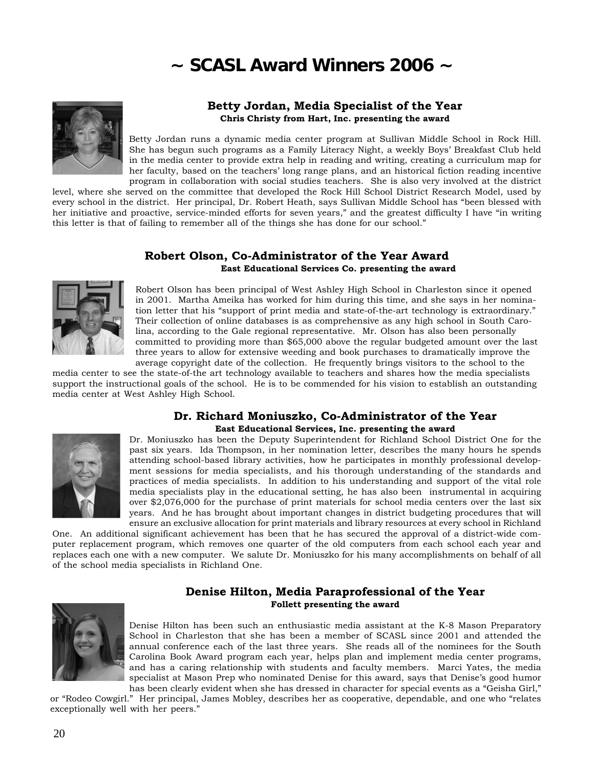# **~ SCASL Award Winners 2006 ~**



# **Betty Jordan, Media Specialist of the Year Chris Christy from Hart, Inc. presenting the award**

Betty Jordan runs a dynamic media center program at Sullivan Middle School in Rock Hill. She has begun such programs as a Family Literacy Night, a weekly Boys' Breakfast Club held in the media center to provide extra help in reading and writing, creating a curriculum map for her faculty, based on the teachers' long range plans, and an historical fiction reading incentive program in collaboration with social studies teachers. She is also very involved at the district

level, where she served on the committee that developed the Rock Hill School District Research Model, used by every school in the district. Her principal, Dr. Robert Heath, says Sullivan Middle School has "been blessed with her initiative and proactive, service-minded efforts for seven years," and the greatest difficulty I have "in writing this letter is that of failing to remember all of the things she has done for our school."

# **Robert Olson, Co-Administrator of the Year Award East Educational Services Co. presenting the award**



Robert Olson has been principal of West Ashley High School in Charleston since it opened in 2001. Martha Ameika has worked for him during this time, and she says in her nomination letter that his "support of print media and state-of-the-art technology is extraordinary." Their collection of online databases is as comprehensive as any high school in South Carolina, according to the Gale regional representative. Mr. Olson has also been personally committed to providing more than \$65,000 above the regular budgeted amount over the last three years to allow for extensive weeding and book purchases to dramatically improve the average copyright date of the collection. He frequently brings visitors to the school to the

media center to see the state-of-the art technology available to teachers and shares how the media specialists support the instructional goals of the school. He is to be commended for his vision to establish an outstanding media center at West Ashley High School.



## **Dr. Richard Moniuszko, Co-Administrator of the Year East Educational Services, Inc. presenting the award**

Dr. Moniuszko has been the Deputy Superintendent for Richland School District One for the past six years. Ida Thompson, in her nomination letter, describes the many hours he spends attending school-based library activities, how he participates in monthly professional development sessions for media specialists, and his thorough understanding of the standards and practices of media specialists. In addition to his understanding and support of the vital role media specialists play in the educational setting, he has also been instrumental in acquiring over \$2,076,000 for the purchase of print materials for school media centers over the last six years. And he has brought about important changes in district budgeting procedures that will ensure an exclusive allocation for print materials and library resources at every school in Richland

One. An additional significant achievement has been that he has secured the approval of a district-wide computer replacement program, which removes one quarter of the old computers from each school each year and replaces each one with a new computer. We salute Dr. Moniuszko for his many accomplishments on behalf of all of the school media specialists in Richland One.

# **Denise Hilton, Media Paraprofessional of the Year Follett presenting the award**



Denise Hilton has been such an enthusiastic media assistant at the K-8 Mason Preparatory School in Charleston that she has been a member of SCASL since 2001 and attended the annual conference each of the last three years. She reads all of the nominees for the South Carolina Book Award program each year, helps plan and implement media center programs, and has a caring relationship with students and faculty members. Marci Yates, the media specialist at Mason Prep who nominated Denise for this award, says that Denise's good humor has been clearly evident when she has dressed in character for special events as a "Geisha Girl,"

or "Rodeo Cowgirl." Her principal, James Mobley, describes her as cooperative, dependable, and one who "relates exceptionally well with her peers."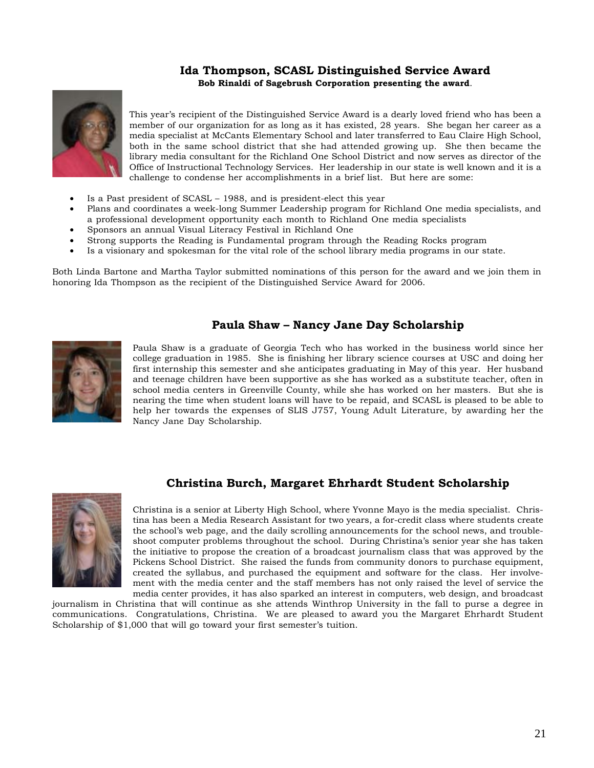# **Ida Thompson, SCASL Distinguished Service Award Bob Rinaldi of Sagebrush Corporation presenting the award**.



This year's recipient of the Distinguished Service Award is a dearly loved friend who has been a member of our organization for as long as it has existed, 28 years. She began her career as a media specialist at McCants Elementary School and later transferred to Eau Claire High School, both in the same school district that she had attended growing up. She then became the library media consultant for the Richland One School District and now serves as director of the Office of Instructional Technology Services. Her leadership in our state is well known and it is a challenge to condense her accomplishments in a brief list. But here are some:

- Is a Past president of SCASL 1988, and is president-elect this year
- Plans and coordinates a week-long Summer Leadership program for Richland One media specialists, and a professional development opportunity each month to Richland One media specialists
- Sponsors an annual Visual Literacy Festival in Richland One
- Strong supports the Reading is Fundamental program through the Reading Rocks program
- Is a visionary and spokesman for the vital role of the school library media programs in our state.

Both Linda Bartone and Martha Taylor submitted nominations of this person for the award and we join them in honoring Ida Thompson as the recipient of the Distinguished Service Award for 2006.

# **Paula Shaw – Nancy Jane Day Scholarship**



Paula Shaw is a graduate of Georgia Tech who has worked in the business world since her college graduation in 1985. She is finishing her library science courses at USC and doing her first internship this semester and she anticipates graduating in May of this year. Her husband and teenage children have been supportive as she has worked as a substitute teacher, often in school media centers in Greenville County, while she has worked on her masters. But she is nearing the time when student loans will have to be repaid, and SCASL is pleased to be able to help her towards the expenses of SLIS J757, Young Adult Literature, by awarding her the Nancy Jane Day Scholarship.



# **Christina Burch, Margaret Ehrhardt Student Scholarship**

Christina is a senior at Liberty High School, where Yvonne Mayo is the media specialist. Christina has been a Media Research Assistant for two years, a for-credit class where students create the school's web page, and the daily scrolling announcements for the school news, and troubleshoot computer problems throughout the school. During Christina's senior year she has taken the initiative to propose the creation of a broadcast journalism class that was approved by the Pickens School District. She raised the funds from community donors to purchase equipment, created the syllabus, and purchased the equipment and software for the class. Her involvement with the media center and the staff members has not only raised the level of service the media center provides, it has also sparked an interest in computers, web design, and broadcast

journalism in Christina that will continue as she attends Winthrop University in the fall to purse a degree in communications. Congratulations, Christina. We are pleased to award you the Margaret Ehrhardt Student Scholarship of \$1,000 that will go toward your first semester's tuition.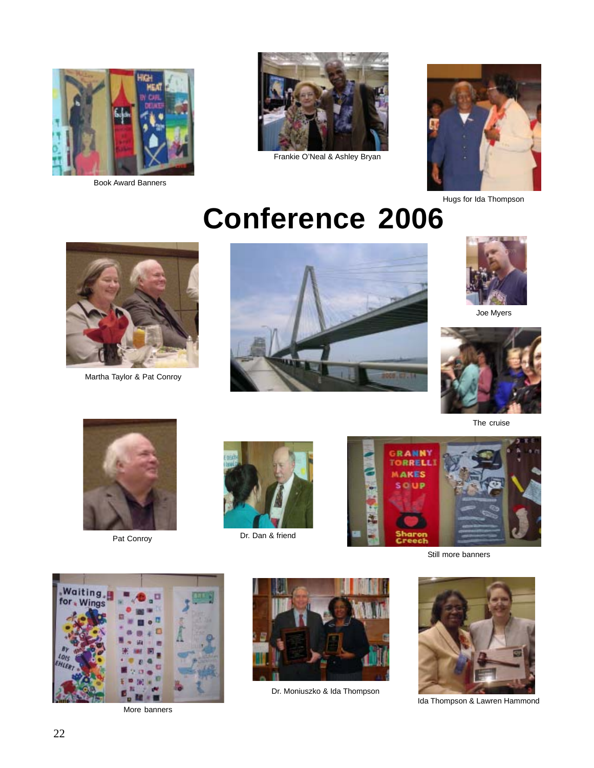

Book Award Banners



Frankie O'Neal & Ashley Bryan



Hugs for Ida Thompson

# **Conference 2006**



Martha Taylor & Pat Conroy





Joe Myers



The cruise



Pat Conroy



Dr. Dan & friend



Still more banners



More banners



Dr. Moniuszko & Ida Thompson



Ida Thompson & Lawren Hammond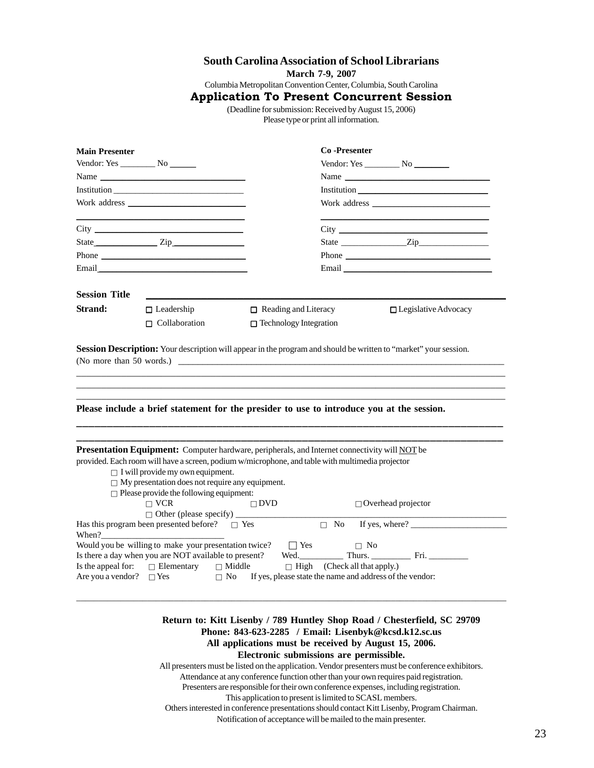# **South Carolina Association of School Librarians**

**March 7-9, 2007**

Columbia Metropolitan Convention Center, Columbia, South Carolina

**Application To Present Concurrent Session**

(Deadline for submission: Received by August 15, 2006) Please type or print all information.

| Vendor: Yes No                                                                                                                                  |                                                                                                                                                                                                                               |                             |                                     |                                                                                                                                                                                                                                                                                                                                                                                                               |  |
|-------------------------------------------------------------------------------------------------------------------------------------------------|-------------------------------------------------------------------------------------------------------------------------------------------------------------------------------------------------------------------------------|-----------------------------|-------------------------------------|---------------------------------------------------------------------------------------------------------------------------------------------------------------------------------------------------------------------------------------------------------------------------------------------------------------------------------------------------------------------------------------------------------------|--|
|                                                                                                                                                 |                                                                                                                                                                                                                               |                             |                                     |                                                                                                                                                                                                                                                                                                                                                                                                               |  |
|                                                                                                                                                 | Name                                                                                                                                                                                                                          |                             |                                     | Name                                                                                                                                                                                                                                                                                                                                                                                                          |  |
|                                                                                                                                                 |                                                                                                                                                                                                                               |                             |                                     |                                                                                                                                                                                                                                                                                                                                                                                                               |  |
|                                                                                                                                                 |                                                                                                                                                                                                                               |                             |                                     |                                                                                                                                                                                                                                                                                                                                                                                                               |  |
|                                                                                                                                                 | <u> 1989 - Johann Barn, fransk politik amerikansk politik (d. 1989)</u>                                                                                                                                                       |                             |                                     | <u> 1950 - Johann John Harry Harry Harry Harry Harry Harry Harry Harry Harry Harry Harry Harry Harry Harry Harry H</u>                                                                                                                                                                                                                                                                                        |  |
|                                                                                                                                                 | City                                                                                                                                                                                                                          |                             |                                     |                                                                                                                                                                                                                                                                                                                                                                                                               |  |
|                                                                                                                                                 | State <b>Zip Zip</b>                                                                                                                                                                                                          |                             |                                     |                                                                                                                                                                                                                                                                                                                                                                                                               |  |
|                                                                                                                                                 | Phone <b>Phone</b>                                                                                                                                                                                                            |                             |                                     | Phone $\frac{1}{\sqrt{1-\frac{1}{2}}\sqrt{1-\frac{1}{2}}\sqrt{1-\frac{1}{2}}\sqrt{1-\frac{1}{2}}\sqrt{1-\frac{1}{2}}\sqrt{1-\frac{1}{2}}\sqrt{1-\frac{1}{2}}\sqrt{1-\frac{1}{2}}\sqrt{1-\frac{1}{2}}\sqrt{1-\frac{1}{2}}\sqrt{1-\frac{1}{2}}\sqrt{1-\frac{1}{2}}\sqrt{1-\frac{1}{2}}\sqrt{1-\frac{1}{2}}\sqrt{1-\frac{1}{2}}\sqrt{1-\frac{1}{2}}\sqrt{1-\frac{1}{2}}\sqrt{1-\frac{1}{2}}\sqrt{1-\frac{1}{2}}$ |  |
|                                                                                                                                                 | Email and the contract of the contract of the contract of the contract of the contract of the contract of the contract of the contract of the contract of the contract of the contract of the contract of the contract of the |                             |                                     | Email and the contract of the contract of the contract of the contract of the contract of the contract of the contract of the contract of the contract of the contract of the contract of the contract of the contract of the                                                                                                                                                                                 |  |
| <b>Session Title</b>                                                                                                                            |                                                                                                                                                                                                                               |                             |                                     |                                                                                                                                                                                                                                                                                                                                                                                                               |  |
| <b>Strand:</b>                                                                                                                                  | $\Box$ Leadership                                                                                                                                                                                                             | $\Box$ Reading and Literacy |                                     | $\Box$ Legislative Advocacy                                                                                                                                                                                                                                                                                                                                                                                   |  |
|                                                                                                                                                 | $\Box$ Collaboration                                                                                                                                                                                                          | □ Technology Integration    |                                     |                                                                                                                                                                                                                                                                                                                                                                                                               |  |
|                                                                                                                                                 | (No more than 50 words.)                                                                                                                                                                                                      |                             |                                     |                                                                                                                                                                                                                                                                                                                                                                                                               |  |
|                                                                                                                                                 | Please include a brief statement for the presider to use to introduce you at the session.                                                                                                                                     |                             |                                     |                                                                                                                                                                                                                                                                                                                                                                                                               |  |
|                                                                                                                                                 | Presentation Equipment: Computer hardware, peripherals, and Internet connectivity will NOT be<br>provided. Each room will have a screen, podium w/microphone, and table with multimedia projector                             |                             |                                     |                                                                                                                                                                                                                                                                                                                                                                                                               |  |
|                                                                                                                                                 | $\Box$ I will provide my own equipment.                                                                                                                                                                                       |                             |                                     |                                                                                                                                                                                                                                                                                                                                                                                                               |  |
|                                                                                                                                                 | $\Box$ My presentation does not require any equipment.                                                                                                                                                                        |                             |                                     |                                                                                                                                                                                                                                                                                                                                                                                                               |  |
|                                                                                                                                                 | $\Box$ Please provide the following equipment:<br>$\Box$ VCR                                                                                                                                                                  | $\Box$ DVD                  |                                     | $\Box$ Overhead projector                                                                                                                                                                                                                                                                                                                                                                                     |  |
|                                                                                                                                                 | Has this program been presented before? $\square$ Yes                                                                                                                                                                         |                             | $\Box$ No                           | If yes, where? $\frac{1}{\sqrt{1-\frac{1}{2}} \cdot \frac{1}{2}}$                                                                                                                                                                                                                                                                                                                                             |  |
|                                                                                                                                                 |                                                                                                                                                                                                                               |                             |                                     |                                                                                                                                                                                                                                                                                                                                                                                                               |  |
|                                                                                                                                                 | Would you be willing to make your presentation twice?                                                                                                                                                                         | $\Box$ Yes                  |                                     | $\Box$ No                                                                                                                                                                                                                                                                                                                                                                                                     |  |
| Session Description: Your description will appear in the program and should be written to "market" your session.<br>When?<br>Is the appeal for: | Is there a day when you are NOT available to present?<br>$\Box$ Elementary                                                                                                                                                    | $\Box$ Middle               | $\Box$ High (Check all that apply.) |                                                                                                                                                                                                                                                                                                                                                                                                               |  |

# **All applications must be received by August 15, 2006.**

**Electronic submissions are permissible.**

All presenters must be listed on the application. Vendor presenters must be conference exhibitors. Attendance at any conference function other than your own requires paid registration.

Presenters are responsible for their own conference expenses, including registration.

This application to present is limited to SCASL members.

Others interested in conference presentations should contact Kitt Lisenby, Program Chairman. Notification of acceptance will be mailed to the main presenter.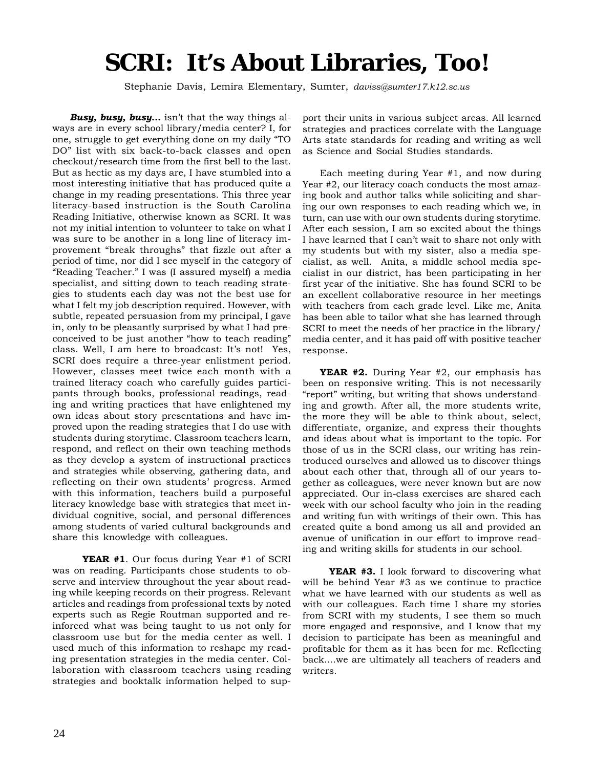# **SCRI: It's About Libraries, Too!**

Stephanie Davis, Lemira Elementary, Sumter, *daviss@sumter17.k12.sc.us*

*Busy, busy, busy...* isn't that the way things always are in every school library/media center? I, for one, struggle to get everything done on my daily "TO DO" list with six back-to-back classes and open checkout/research time from the first bell to the last. But as hectic as my days are, I have stumbled into a most interesting initiative that has produced quite a change in my reading presentations. This three year literacy-based instruction is the South Carolina Reading Initiative, otherwise known as SCRI. It was not my initial intention to volunteer to take on what I was sure to be another in a long line of literacy improvement "break throughs" that fizzle out after a period of time, nor did I see myself in the category of "Reading Teacher." I was (I assured myself) a media specialist, and sitting down to teach reading strategies to students each day was not the best use for what I felt my job description required. However, with subtle, repeated persuasion from my principal, I gave in, only to be pleasantly surprised by what I had preconceived to be just another "how to teach reading" class. Well, I am here to broadcast: It's not! Yes, SCRI does require a three-year enlistment period. However, classes meet twice each month with a trained literacy coach who carefully guides participants through books, professional readings, reading and writing practices that have enlightened my own ideas about story presentations and have improved upon the reading strategies that I do use with students during storytime. Classroom teachers learn, respond, and reflect on their own teaching methods as they develop a system of instructional practices and strategies while observing, gathering data, and reflecting on their own students' progress. Armed with this information, teachers build a purposeful literacy knowledge base with strategies that meet individual cognitive, social, and personal differences among students of varied cultural backgrounds and share this knowledge with colleagues.

 **YEAR #1**. Our focus during Year #1 of SCRI was on reading. Participants chose students to observe and interview throughout the year about reading while keeping records on their progress. Relevant articles and readings from professional texts by noted experts such as Regie Routman supported and reinforced what was being taught to us not only for classroom use but for the media center as well. I used much of this information to reshape my reading presentation strategies in the media center. Collaboration with classroom teachers using reading strategies and booktalk information helped to support their units in various subject areas. All learned strategies and practices correlate with the Language Arts state standards for reading and writing as well as Science and Social Studies standards.

Each meeting during Year #1, and now during Year #2, our literacy coach conducts the most amazing book and author talks while soliciting and sharing our own responses to each reading which we, in turn, can use with our own students during storytime. After each session, I am so excited about the things I have learned that I can't wait to share not only with my students but with my sister, also a media specialist, as well. Anita, a middle school media specialist in our district, has been participating in her first year of the initiative. She has found SCRI to be an excellent collaborative resource in her meetings with teachers from each grade level. Like me, Anita has been able to tailor what she has learned through SCRI to meet the needs of her practice in the library/ media center, and it has paid off with positive teacher response.

**YEAR #2.** During Year #2, our emphasis has been on responsive writing. This is not necessarily "report" writing, but writing that shows understanding and growth. After all, the more students write, the more they will be able to think about, select, differentiate, organize, and express their thoughts and ideas about what is important to the topic. For those of us in the SCRI class, our writing has reintroduced ourselves and allowed us to discover things about each other that, through all of our years together as colleagues, were never known but are now appreciated. Our in-class exercises are shared each week with our school faculty who join in the reading and writing fun with writings of their own. This has created quite a bond among us all and provided an avenue of unification in our effort to improve reading and writing skills for students in our school.

 **YEAR #3.** I look forward to discovering what will be behind Year #3 as we continue to practice what we have learned with our students as well as with our colleagues. Each time I share my stories from SCRI with my students, I see them so much more engaged and responsive, and I know that my decision to participate has been as meaningful and profitable for them as it has been for me. Reflecting back....we are ultimately all teachers of readers and writers.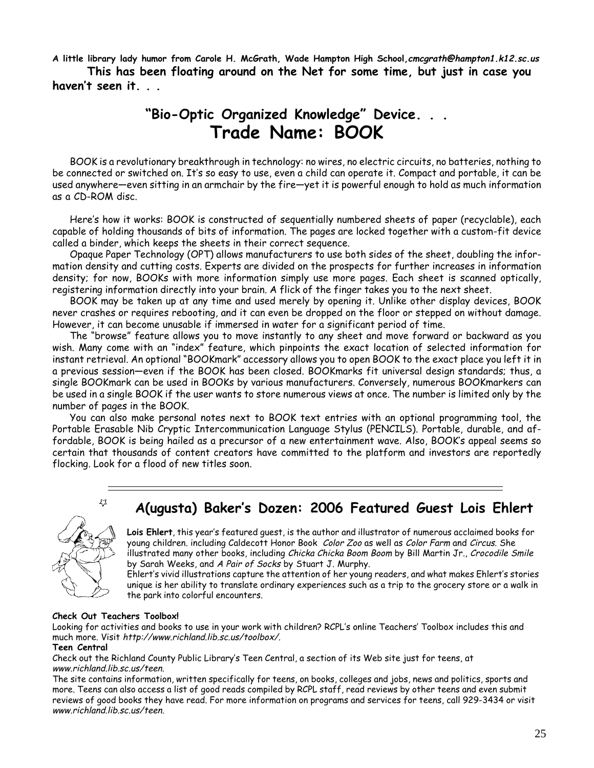**A little library lady humor from Carole H. McGrath, Wade Hampton High School,cmcgrath@hampton1.k12.sc.us This has been floating around on the Net for some time, but just in case you haven't seen it. . .**

# **"Bio-Optic Organized Knowledge" Device. . . Trade Name: BOOK**

BOOK is a revolutionary breakthrough in technology: no wires, no electric circuits, no batteries, nothing to be connected or switched on. It's so easy to use, even a child can operate it. Compact and portable, it can be used anywhere—even sitting in an armchair by the fire—yet it is powerful enough to hold as much information as a CD-ROM disc.

Here's how it works: BOOK is constructed of sequentially numbered sheets of paper (recyclable), each capable of holding thousands of bits of information. The pages are locked together with a custom-fit device called a binder, which keeps the sheets in their correct sequence.

Opaque Paper Technology (OPT) allows manufacturers to use both sides of the sheet, doubling the information density and cutting costs. Experts are divided on the prospects for further increases in information density; for now, BOOKs with more information simply use more pages. Each sheet is scanned optically, registering information directly into your brain. A flick of the finger takes you to the next sheet.

BOOK may be taken up at any time and used merely by opening it. Unlike other display devices, BOOK never crashes or requires rebooting, and it can even be dropped on the floor or stepped on without damage. However, it can become unusable if immersed in water for a significant period of time.

The "browse" feature allows you to move instantly to any sheet and move forward or backward as you wish. Many come with an "index" feature, which pinpoints the exact location of selected information for instant retrieval. An optional "BOOKmark" accessory allows you to open BOOK to the exact place you left it in a previous session—even if the BOOK has been closed. BOOKmarks fit universal design standards; thus, a single BOOKmark can be used in BOOKs by various manufacturers. Conversely, numerous BOOKmarkers can be used in a single BOOK if the user wants to store numerous views at once. The number is limited only by the number of pages in the BOOK.

You can also make personal notes next to BOOK text entries with an optional programming tool, the Portable Erasable Nib Cryptic Intercommunication Language Stylus (PENCILS). Portable, durable, and affordable, BOOK is being hailed as a precursor of a new entertainment wave. Also, BOOK's appeal seems so certain that thousands of content creators have committed to the platform and investors are reportedly flocking. Look for a flood of new titles soon.

# **A(ugusta) Baker's Dozen: 2006 Featured Guest Lois Ehlert**



53

**Lois Ehlert**, this year's featured guest, is the author and illustrator of numerous acclaimed books for young children. including Caldecott Honor Book Color Zoo as well as Color Farm and Circus. She illustrated many other books, including Chicka Chicka Boom Boom by Bill Martin Jr., Crocodile Smile by Sarah Weeks, and A Pair of Socks by Stuart J. Murphy.

Ehlert's vivid illustrations capture the attention of her young readers, and what makes Ehlert's stories unique is her ability to translate ordinary experiences such as a trip to the grocery store or a walk in the park into colorful encounters.

## **Check Out Teachers Toolbox!**

Looking for activities and books to use in your work with children? RCPL's online Teachers' Toolbox includes this and much more. Visit http://www.richland.lib.sc.us/toolbox/.

## **Teen Central**

Check out the Richland County Public Library's Teen Central, a section of its Web site just for teens, at www.richland.lib.sc.us/teen.

The site contains information, written specifically for teens, on books, colleges and jobs, news and politics, sports and more. Teens can also access a list of good reads compiled by RCPL staff, read reviews by other teens and even submit reviews of good books they have read. For more information on programs and services for teens, call 929-3434 or visit www.richland.lib.sc.us/teen.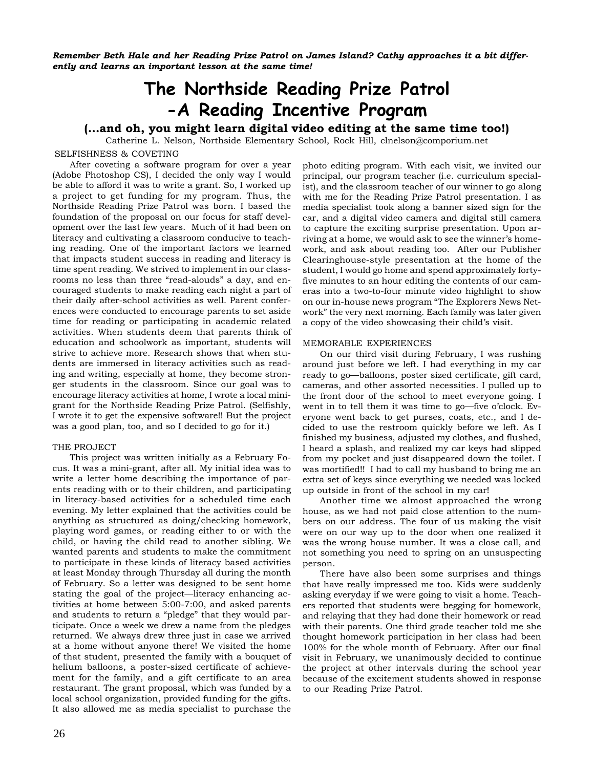*Remember Beth Hale and her Reading Prize Patrol on James Island? Cathy approaches it a bit differently and learns an important lesson at the same time!*

# **The Northside Reading Prize Patrol -A Reading Incentive Program**

# **(…and oh, you might learn digital video editing at the same time too!)**

SELFISHNESS & COVETING Catherine L. Nelson, Northside Elementary School, Rock Hill, clnelson@comporium.net

After coveting a software program for over a year (Adobe Photoshop CS), I decided the only way I would be able to afford it was to write a grant. So, I worked up a project to get funding for my program. Thus, the Northside Reading Prize Patrol was born. I based the foundation of the proposal on our focus for staff development over the last few years. Much of it had been on literacy and cultivating a classroom conducive to teaching reading. One of the important factors we learned that impacts student success in reading and literacy is time spent reading. We strived to implement in our classrooms no less than three "read-alouds" a day, and encouraged students to make reading each night a part of their daily after-school activities as well. Parent conferences were conducted to encourage parents to set aside time for reading or participating in academic related activities. When students deem that parents think of

education and schoolwork as important, students will strive to achieve more. Research shows that when students are immersed in literacy activities such as reading and writing, especially at home, they become stronger students in the classroom. Since our goal was to encourage literacy activities at home, I wrote a local minigrant for the Northside Reading Prize Patrol. (Selfishly, I wrote it to get the expensive software!! But the project was a good plan, too, and so I decided to go for it.)

#### THE PROJECT

This project was written initially as a February Focus. It was a mini-grant, after all. My initial idea was to write a letter home describing the importance of parents reading with or to their children, and participating in literacy-based activities for a scheduled time each evening. My letter explained that the activities could be anything as structured as doing/checking homework, playing word games, or reading either to or with the child, or having the child read to another sibling. We wanted parents and students to make the commitment to participate in these kinds of literacy based activities at least Monday through Thursday all during the month of February. So a letter was designed to be sent home stating the goal of the project—literacy enhancing activities at home between 5:00-7:00, and asked parents and students to return a "pledge" that they would participate. Once a week we drew a name from the pledges returned. We always drew three just in case we arrived at a home without anyone there! We visited the home of that student, presented the family with a bouquet of helium balloons, a poster-sized certificate of achievement for the family, and a gift certificate to an area restaurant. The grant proposal, which was funded by a local school organization, provided funding for the gifts. It also allowed me as media specialist to purchase the

photo editing program. With each visit, we invited our principal, our program teacher (i.e. curriculum specialist), and the classroom teacher of our winner to go along with me for the Reading Prize Patrol presentation. I as media specialist took along a banner sized sign for the car, and a digital video camera and digital still camera to capture the exciting surprise presentation. Upon arriving at a home, we would ask to see the winner's homework, and ask about reading too. After our Publisher Clearinghouse-style presentation at the home of the student, I would go home and spend approximately fortyfive minutes to an hour editing the contents of our cameras into a two-to-four minute video highlight to show on our in-house news program "The Explorers News Network" the very next morning. Each family was later given a copy of the video showcasing their child's visit.

#### MEMORABLE EXPERIENCES

On our third visit during February, I was rushing around just before we left. I had everything in my car ready to go—balloons, poster sized certificate, gift card, cameras, and other assorted necessities. I pulled up to the front door of the school to meet everyone going. I went in to tell them it was time to go—five o'clock. Everyone went back to get purses, coats, etc., and I decided to use the restroom quickly before we left. As I finished my business, adjusted my clothes, and flushed, I heard a splash, and realized my car keys had slipped from my pocket and just disappeared down the toilet. I was mortified!! I had to call my husband to bring me an extra set of keys since everything we needed was locked up outside in front of the school in my car!

Another time we almost approached the wrong house, as we had not paid close attention to the numbers on our address. The four of us making the visit were on our way up to the door when one realized it was the wrong house number. It was a close call, and not something you need to spring on an unsuspecting person.

There have also been some surprises and things that have really impressed me too. Kids were suddenly asking everyday if we were going to visit a home. Teachers reported that students were begging for homework, and relaying that they had done their homework or read with their parents. One third grade teacher told me she thought homework participation in her class had been 100% for the whole month of February. After our final visit in February, we unanimously decided to continue the project at other intervals during the school year because of the excitement students showed in response to our Reading Prize Patrol.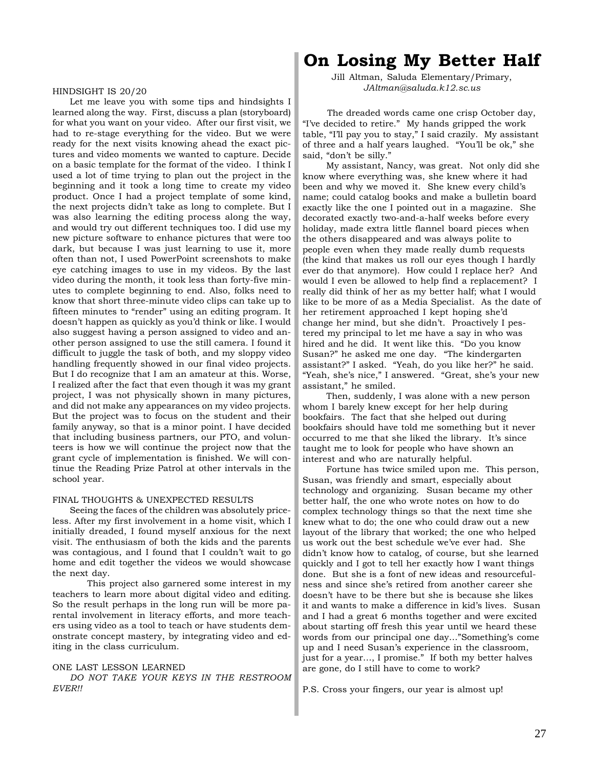#### HINDSIGHT IS 20/20

Let me leave you with some tips and hindsights I learned along the way. First, discuss a plan (storyboard) for what you want on your video. After our first visit, we had to re-stage everything for the video. But we were ready for the next visits knowing ahead the exact pictures and video moments we wanted to capture. Decide on a basic template for the format of the video. I think I used a lot of time trying to plan out the project in the beginning and it took a long time to create my video product. Once I had a project template of some kind, the next projects didn't take as long to complete. But I was also learning the editing process along the way, and would try out different techniques too. I did use my new picture software to enhance pictures that were too dark, but because I was just learning to use it, more often than not, I used PowerPoint screenshots to make eye catching images to use in my videos. By the last video during the month, it took less than forty-five minutes to complete beginning to end. Also, folks need to know that short three-minute video clips can take up to fifteen minutes to "render" using an editing program. It doesn't happen as quickly as you'd think or like. I would also suggest having a person assigned to video and another person assigned to use the still camera. I found it difficult to juggle the task of both, and my sloppy video handling frequently showed in our final video projects. But I do recognize that I am an amateur at this. Worse, I realized after the fact that even though it was my grant project, I was not physically shown in many pictures, and did not make any appearances on my video projects. But the project was to focus on the student and their family anyway, so that is a minor point. I have decided that including business partners, our PTO, and volunteers is how we will continue the project now that the grant cycle of implementation is finished. We will continue the Reading Prize Patrol at other intervals in the school year.

#### FINAL THOUGHTS & UNEXPECTED RESULTS

Seeing the faces of the children was absolutely priceless. After my first involvement in a home visit, which I initially dreaded, I found myself anxious for the next visit. The enthusiasm of both the kids and the parents was contagious, and I found that I couldn't wait to go home and edit together the videos we would showcase the next day.

This project also garnered some interest in my teachers to learn more about digital video and editing. So the result perhaps in the long run will be more parental involvement in literacy efforts, and more teachers using video as a tool to teach or have students demonstrate concept mastery, by integrating video and editing in the class curriculum.

## ONE LAST LESSON LEARNED

*DO NOT TAKE YOUR KEYS IN THE RESTROOM EVER!!*

# **On Losing My Better Half**

Jill Altman, Saluda Elementary/Primary, *JAltman@saluda.k12.sc.us*

 The dreaded words came one crisp October day, "I've decided to retire." My hands gripped the work table, "I'll pay you to stay," I said crazily. My assistant of three and a half years laughed. "You'll be ok," she said, "don't be silly."

 My assistant, Nancy, was great. Not only did she know where everything was, she knew where it had been and why we moved it. She knew every child's name; could catalog books and make a bulletin board exactly like the one I pointed out in a magazine. She decorated exactly two-and-a-half weeks before every holiday, made extra little flannel board pieces when the others disappeared and was always polite to people even when they made really dumb requests (the kind that makes us roll our eyes though I hardly ever do that anymore). How could I replace her? And would I even be allowed to help find a replacement? I really did think of her as my better half; what I would like to be more of as a Media Specialist. As the date of her retirement approached I kept hoping she'd change her mind, but she didn't. Proactively I pestered my principal to let me have a say in who was hired and he did. It went like this. "Do you know Susan?" he asked me one day. "The kindergarten assistant?" I asked. "Yeah, do you like her?" he said. "Yeah, she's nice," I answered. "Great, she's your new assistant," he smiled.

 Then, suddenly, I was alone with a new person whom I barely knew except for her help during bookfairs. The fact that she helped out during bookfairs should have told me something but it never occurred to me that she liked the library. It's since taught me to look for people who have shown an interest and who are naturally helpful.

 Fortune has twice smiled upon me. This person, Susan, was friendly and smart, especially about technology and organizing. Susan became my other better half, the one who wrote notes on how to do complex technology things so that the next time she knew what to do; the one who could draw out a new layout of the library that worked; the one who helped us work out the best schedule we've ever had. She didn't know how to catalog, of course, but she learned quickly and I got to tell her exactly how I want things done. But she is a font of new ideas and resourcefulness and since she's retired from another career she doesn't have to be there but she is because she likes it and wants to make a difference in kid's lives. Susan and I had a great 6 months together and were excited about starting off fresh this year until we heard these words from our principal one day…"Something's come up and I need Susan's experience in the classroom, just for a year…, I promise." If both my better halves are gone, do I still have to come to work?

P.S. Cross your fingers, our year is almost up!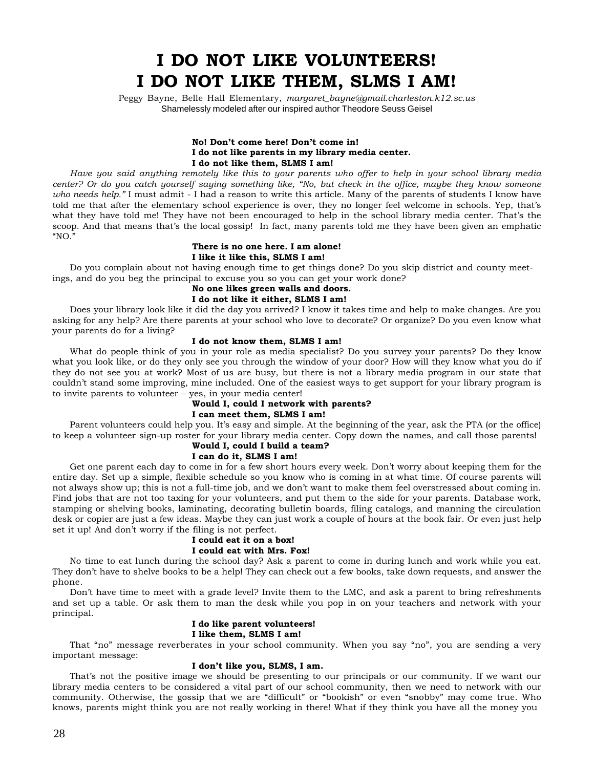# **I DO NOT LIKE VOLUNTEERS! I DO NOT LIKE THEM, SLMS I AM!**

Peggy Bayne, Belle Hall Elementary, *margaret\_bayne@gmail.charleston.k12.sc.us* Shamelessly modeled after our inspired author Theodore Seuss Geisel

### **No! Don't come here! Don't come in! I do not like parents in my library media center. I do not like them, SLMS I am!**

*Have you said anything remotely like this to your parents who offer to help in your school library media center? Or do you catch yourself saying something like, "No, but check in the office, maybe they know someone who needs help."* I must admit - I had a reason to write this article. Many of the parents of students I know have told me that after the elementary school experience is over, they no longer feel welcome in schools. Yep, that's what they have told me! They have not been encouraged to help in the school library media center. That's the scoop. And that means that's the local gossip! In fact, many parents told me they have been given an emphatic "NO."

#### **There is no one here. I am alone! I like it like this, SLMS I am!**

Do you complain about not having enough time to get things done? Do you skip district and county meetings, and do you beg the principal to excuse you so you can get your work done?

# **No one likes green walls and doors.**

## **I do not like it either, SLMS I am!**

Does your library look like it did the day you arrived? I know it takes time and help to make changes. Are you asking for any help? Are there parents at your school who love to decorate? Or organize? Do you even know what your parents do for a living?

## **I do not know them, SLMS I am!**

What do people think of you in your role as media specialist? Do you survey your parents? Do they know what you look like, or do they only see you through the window of your door? How will they know what you do if they do not see you at work? Most of us are busy, but there is not a library media program in our state that couldn't stand some improving, mine included. One of the easiest ways to get support for your library program is to invite parents to volunteer – yes, in your media center!

## **Would I, could I network with parents?**

#### **I can meet them, SLMS I am!**

Parent volunteers could help you. It's easy and simple. At the beginning of the year, ask the PTA (or the office) to keep a volunteer sign-up roster for your library media center. Copy down the names, and call those parents!

# **Would I, could I build a team?**

## **I can do it, SLMS I am!**

Get one parent each day to come in for a few short hours every week. Don't worry about keeping them for the entire day. Set up a simple, flexible schedule so you know who is coming in at what time. Of course parents will not always show up; this is not a full-time job, and we don't want to make them feel overstressed about coming in. Find jobs that are not too taxing for your volunteers, and put them to the side for your parents. Database work, stamping or shelving books, laminating, decorating bulletin boards, filing catalogs, and manning the circulation desk or copier are just a few ideas. Maybe they can just work a couple of hours at the book fair. Or even just help set it up! And don't worry if the filing is not perfect.

# **I could eat it on a box!**

## **I could eat with Mrs. Fox!**

No time to eat lunch during the school day? Ask a parent to come in during lunch and work while you eat. They don't have to shelve books to be a help! They can check out a few books, take down requests, and answer the phone.

Don't have time to meet with a grade level? Invite them to the LMC, and ask a parent to bring refreshments and set up a table. Or ask them to man the desk while you pop in on your teachers and network with your principal.

### **I do like parent volunteers! I like them, SLMS I am!**

That "no" message reverberates in your school community. When you say "no", you are sending a very important message:

## **I don't like you, SLMS, I am.**

That's not the positive image we should be presenting to our principals or our community. If we want our library media centers to be considered a vital part of our school community, then we need to network with our community. Otherwise, the gossip that we are "difficult" or "bookish" or even "snobby" may come true. Who knows, parents might think you are not really working in there! What if they think you have all the money you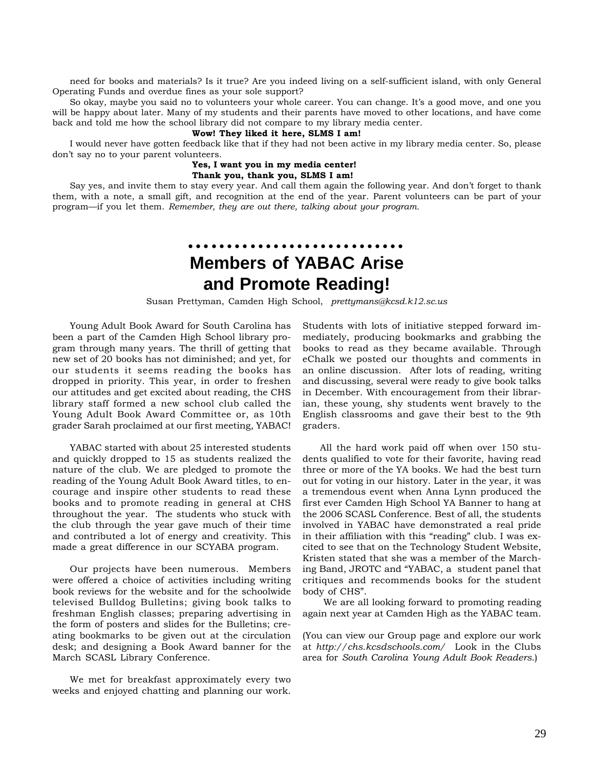need for books and materials? Is it true? Are you indeed living on a self-sufficient island, with only General Operating Funds and overdue fines as your sole support?

So okay, maybe you said no to volunteers your whole career. You can change. It's a good move, and one you will be happy about later. Many of my students and their parents have moved to other locations, and have come back and told me how the school library did not compare to my library media center.

## **Wow! They liked it here, SLMS I am!**

I would never have gotten feedback like that if they had not been active in my library media center. So, please don't say no to your parent volunteers.

# **Yes, I want you in my media center!**

**Thank you, thank you, SLMS I am!**

Say yes, and invite them to stay every year. And call them again the following year. And don't forget to thank them, with a note, a small gift, and recognition at the end of the year. Parent volunteers can be part of your program—if you let them. *Remember, they are out there, talking about your program.*

# **Members of YABAC Arise and Promote Reading!**

○○○○○○○○○○○○○○○○○○○○○○ ○○○○○○

Susan Prettyman, Camden High School, *prettymans@kcsd.k12.sc.us*

Young Adult Book Award for South Carolina has been a part of the Camden High School library program through many years. The thrill of getting that new set of 20 books has not diminished; and yet, for our students it seems reading the books has dropped in priority. This year, in order to freshen our attitudes and get excited about reading, the CHS library staff formed a new school club called the Young Adult Book Award Committee or, as 10th grader Sarah proclaimed at our first meeting, YABAC!

YABAC started with about 25 interested students and quickly dropped to 15 as students realized the nature of the club. We are pledged to promote the reading of the Young Adult Book Award titles, to encourage and inspire other students to read these books and to promote reading in general at CHS throughout the year. The students who stuck with the club through the year gave much of their time and contributed a lot of energy and creativity. This made a great difference in our SCYABA program.

Our projects have been numerous. Members were offered a choice of activities including writing book reviews for the website and for the schoolwide televised Bulldog Bulletins; giving book talks to freshman English classes; preparing advertising in the form of posters and slides for the Bulletins; creating bookmarks to be given out at the circulation desk; and designing a Book Award banner for the March SCASL Library Conference.

We met for breakfast approximately every two weeks and enjoyed chatting and planning our work. Students with lots of initiative stepped forward immediately, producing bookmarks and grabbing the books to read as they became available. Through eChalk we posted our thoughts and comments in an online discussion. After lots of reading, writing and discussing, several were ready to give book talks in December. With encouragement from their librarian, these young, shy students went bravely to the English classrooms and gave their best to the 9th graders.

All the hard work paid off when over 150 students qualified to vote for their favorite, having read three or more of the YA books. We had the best turn out for voting in our history. Later in the year, it was a tremendous event when Anna Lynn produced the first ever Camden High School YA Banner to hang at the 2006 SCASL Conference. Best of all, the students involved in YABAC have demonstrated a real pride in their affiliation with this "reading" club. I was excited to see that on the Technology Student Website, Kristen stated that she was a member of the Marching Band, JROTC and "YABAC, a student panel that critiques and recommends books for the student body of CHS".

 We are all looking forward to promoting reading again next year at Camden High as the YABAC team.

(You can view our Group page and explore our work at *http://chs.kcsdschools.com/* Look in the Clubs area for *South Carolina Young Adult Book Readers*.)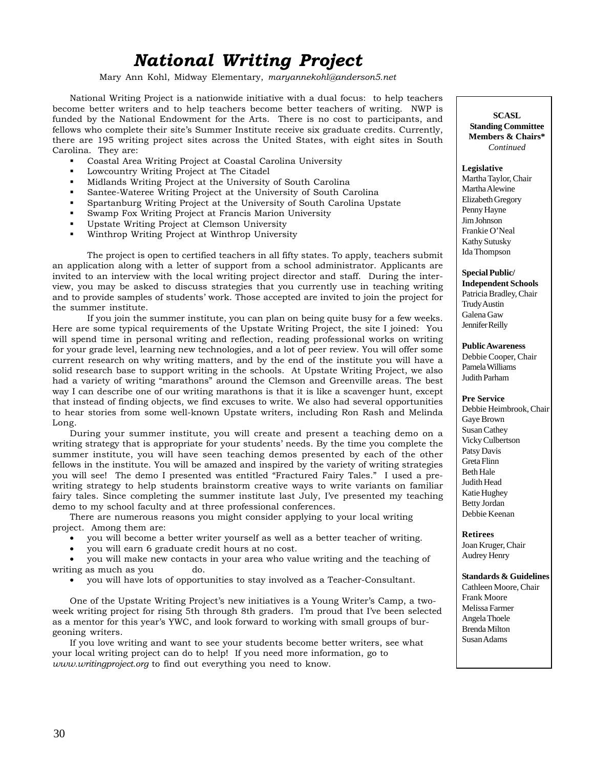# *National Writing Project*

Mary Ann Kohl, Midway Elementary, *maryannekohl@anderson5.net*

National Writing Project is a nationwide initiative with a dual focus: to help teachers become better writers and to help teachers become better teachers of writing. NWP is funded by the National Endowment for the Arts. There is no cost to participants, and fellows who complete their site's Summer Institute receive six graduate credits. Currently, there are 195 writing project sites across the United States, with eight sites in South Carolina. They are:

- Coastal Area Writing Project at Coastal Carolina University
- Lowcountry Writing Project at The Citadel
- Midlands Writing Project at the University of South Carolina
- Santee-Wateree Writing Project at the University of South Carolina
- Spartanburg Writing Project at the University of South Carolina Upstate
- Swamp Fox Writing Project at Francis Marion University
- Upstate Writing Project at Clemson University
- Winthrop Writing Project at Winthrop University

The project is open to certified teachers in all fifty states. To apply, teachers submit an application along with a letter of support from a school administrator. Applicants are invited to an interview with the local writing project director and staff. During the interview, you may be asked to discuss strategies that you currently use in teaching writing and to provide samples of students' work. Those accepted are invited to join the project for the summer institute.

If you join the summer institute, you can plan on being quite busy for a few weeks. Here are some typical requirements of the Upstate Writing Project, the site I joined: You will spend time in personal writing and reflection, reading professional works on writing for your grade level, learning new technologies, and a lot of peer review. You will offer some current research on why writing matters, and by the end of the institute you will have a solid research base to support writing in the schools. At Upstate Writing Project, we also had a variety of writing "marathons" around the Clemson and Greenville areas. The best way I can describe one of our writing marathons is that it is like a scavenger hunt, except that instead of finding objects, we find excuses to write. We also had several opportunities to hear stories from some well-known Upstate writers, including Ron Rash and Melinda Long.

During your summer institute, you will create and present a teaching demo on a writing strategy that is appropriate for your students' needs. By the time you complete the summer institute, you will have seen teaching demos presented by each of the other fellows in the institute. You will be amazed and inspired by the variety of writing strategies you will see! The demo I presented was entitled "Fractured Fairy Tales." I used a prewriting strategy to help students brainstorm creative ways to write variants on familiar fairy tales. Since completing the summer institute last July, I've presented my teaching demo to my school faculty and at three professional conferences.

There are numerous reasons you might consider applying to your local writing project. Among them are:

- you will become a better writer yourself as well as a better teacher of writing.
- you will earn 6 graduate credit hours at no cost.

• you will make new contacts in your area who value writing and the teaching of writing as much as you do.

• you will have lots of opportunities to stay involved as a Teacher-Consultant.

One of the Upstate Writing Project's new initiatives is a Young Writer's Camp, a twoweek writing project for rising 5th through 8th graders. I'm proud that I've been selected as a mentor for this year's YWC, and look forward to working with small groups of burgeoning writers.

If you love writing and want to see your students become better writers, see what your local writing project can do to help! If you need more information, go to *www.writingproject.org* to find out everything you need to know.

**SCASL Standing Committee Members & Chairs\*** *Continued*

**Legislative** Martha Taylor, Chair Martha Alewine Elizabeth Gregory Penny Hayne Jim Johnson Frankie O'Neal Kathy Sutusky Ida Thompson

**Special Public/**

**Independent Schools** Patricia Bradley, Chair Trudy Austin Galena Gaw Jennifer Reilly

**Public Awareness**

Debbie Cooper, Chair Pamela Williams Judith Parham

**Pre Service** Debbie Heimbrook, Chair Gaye Brown Susan Cathey Vicky Culbertson Patsy Davis Greta Flinn Beth Hale Judith Head Katie Hughey Betty Jordan Debbie Keenan

**Retirees** Joan Kruger, Chair Audrey Henry

**Standards & Guidelines** Cathleen Moore, Chair Frank Moore Melissa Farmer Angela Thoele Brenda Milton Susan Adams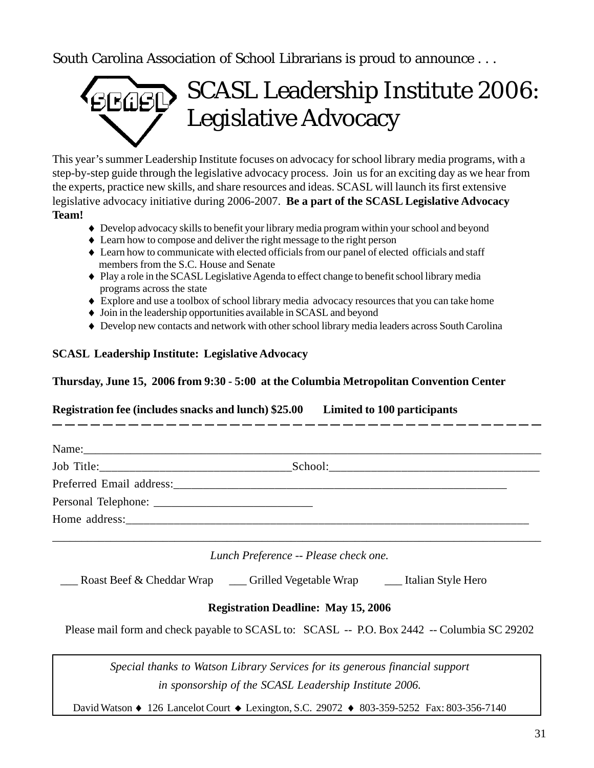South Carolina Association of School Librarians is proud to announce . . .



This year's summer Leadership Institute focuses on advocacy for school library media programs, with a step-by-step guide through the legislative advocacy process. Join us for an exciting day as we hear from the experts, practice new skills, and share resources and ideas. SCASL will launch its first extensive legislative advocacy initiative during 2006-2007. **Be a part of the SCASL Legislative Advocacy Team!**

- ♦ Develop advocacy skills to benefit your library media program within your school and beyond
- ♦ Learn how to compose and deliver the right message to the right person
- ♦ Learn how to communicate with elected officials from our panel of elected officials and staff members from the S.C. House and Senate
- ♦ Play a role in the SCASL Legislative Agenda to effect change to benefit school library media programs across the state
- ♦ Explore and use a toolbox of school library media advocacy resources that you can take home
- ♦ Join in the leadership opportunities available in SCASL and beyond
- ♦ Develop new contacts and network with other school library media leaders across South Carolina

# **SCASL Leadership Institute: Legislative Advocacy**

# **Thursday, June 15, 2006 from 9:30 - 5:00 at the Columbia Metropolitan Convention Center**

**Registration fee (includes snacks and lunch) \$25.00 Limited to 100 participants**

| Lunch Preference -- Please check one. |  |
|---------------------------------------|--|

Roast Beef & Cheddar Wrap \_\_\_ Grilled Vegetable Wrap \_\_\_ Italian Style Hero

# **Registration Deadline: May 15, 2006**

Please mail form and check payable to SCASL to: SCASL -- P.O. Box 2442 -- Columbia SC 29202

*Special thanks to Watson Library Services for its generous financial support in sponsorship of the SCASL Leadership Institute 2006.*

David Watson ♦ 126 Lancelot Court ♦ Lexington, S.C. 29072 ♦ 803-359-5252 Fax: 803-356-7140